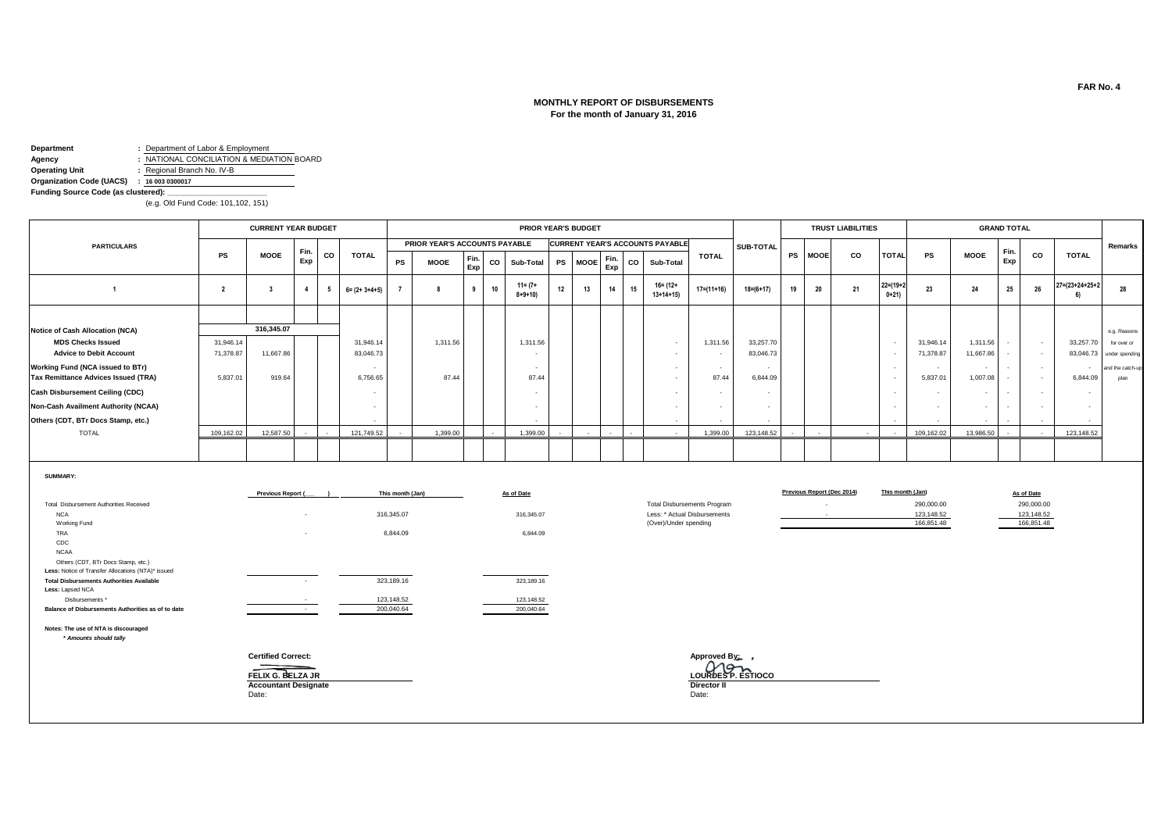### **MONTHLY REPORT OF DISBURSEMENTS For the month of January 31, 2016**

**Department :** Department of Labor & Employment **Agency :** NATIONAL CONCILIATION & MEDIATION BOARD **Operating Unit CONSUMER 1999 :** Regional Branch No. IV-B

**Organization Code (UACS) : 16 003 0300017 Funding Source Code (as clustered): \_\_\_\_\_\_\_\_\_\_\_\_\_\_\_\_\_\_\_\_\_\_\_**

(e.g. Old Fund Code: 101,102, 151)

|                                            |            | <b>CURRENT YEAR BUDGET</b> |            |     |                       |        |                               |             |    | <b>PRIOR YEAR'S BUDGET</b>  |                          |         |             |    |                                        |                  |                 |           |             | <b>TRUST LIABILITIES</b> |                       |            |             | <b>GRAND TOTAL</b> |           |                           |                  |
|--------------------------------------------|------------|----------------------------|------------|-----|-----------------------|--------|-------------------------------|-------------|----|-----------------------------|--------------------------|---------|-------------|----|----------------------------------------|------------------|-----------------|-----------|-------------|--------------------------|-----------------------|------------|-------------|--------------------|-----------|---------------------------|------------------|
| <b>PARTICULARS</b>                         |            |                            |            |     |                       |        | PRIOR YEAR'S ACCOUNTS PAYABLE |             |    |                             |                          |         |             |    | <b>CURRENT YEAR'S ACCOUNTS PAYABLE</b> |                  | SUB-TOTAL       |           |             |                          |                       |            |             |                    |           |                           | Remarks          |
|                                            | <b>PS</b>  | <b>MOOE</b>                | Fin<br>Exp | CO  | <b>TOTAL</b>          | PS     | <b>MOOE</b>                   | Fin.<br>Exp | co | Sub-Total                   |                          | PS MOOE | Fin.<br>Exp | co | Sub-Total                              | <b>TOTAL</b>     |                 | <b>PS</b> | <b>MOOE</b> | co                       | <b>TOTAL</b>          | <b>PS</b>  | <b>MOOE</b> | Fin.<br>Exp        | <b>CO</b> | <b>TOTAL</b>              |                  |
|                                            |            |                            | 4          | - 5 | $6 = (2 + 3 + 4 + 5)$ |        |                               | 9           | 10 | $11 = (7 +$<br>$8 + 9 + 10$ | 12                       | 13      | 14          | 15 | $16 = (12 +$<br>$13+14+15$             | $17 = (11 + 16)$ | $18 = (6 + 17)$ | 19        | 20          | 21                       | $22=(19+2)$<br>$0+21$ | 23         | 24          | 25                 | 26        | $27 = (23 + 24 + 25 + 2)$ | 28               |
|                                            |            |                            |            |     |                       |        |                               |             |    |                             |                          |         |             |    |                                        |                  |                 |           |             |                          |                       |            |             |                    |           |                           |                  |
| Notice of Cash Allocation (NCA)            |            | 316,345.07                 |            |     |                       |        |                               |             |    |                             |                          |         |             |    |                                        |                  |                 |           |             |                          |                       |            |             |                    |           |                           | e.g. Reasons     |
| <b>MDS Checks Issued</b>                   | 31,946.14  |                            |            |     | 31,946.14             |        | 1,311.56                      |             |    | 1,311.56                    |                          |         |             |    | $\sim$                                 | 1,311.56         | 33,257.70       |           |             |                          |                       | 31,946.14  | 1,311.56    | $\sim$             | $\sim$    | 33,257.70                 | for over or      |
| <b>Advice to Debit Account</b>             | 71,378.87  | 11,667.86                  |            |     | 83,046.73             |        |                               |             |    |                             |                          |         |             |    | $\overline{\phantom{a}}$               | $\sim$           | 83.046.73       |           |             |                          |                       | 71,378.87  | 11,667.86   |                    | $\sim$    | 83,046.73                 | under spending   |
| Working Fund (NCA issued to BTr)           |            |                            |            |     |                       |        |                               |             |    |                             |                          |         |             |    | $\sim$                                 | $\sim$           |                 |           |             |                          |                       |            | $\sim$      |                    | $\sim$    |                           | and the catch-up |
| <b>Tax Remittance Advices Issued (TRA)</b> | 5,837.01   | 919.64                     |            |     | 6,756.65              |        | 87.44                         |             |    | 87.44                       |                          |         |             |    | $\sim$                                 | 87.44            | 6,844.09        |           |             |                          |                       | 5,837.01   | 1,007.08    |                    | $\sim$    | 6,844.09                  | plan             |
| <b>Cash Disbursement Ceiling (CDC)</b>     |            |                            |            |     |                       |        |                               |             |    |                             |                          |         |             |    | $\overline{\phantom{a}}$               | $\sim$           |                 |           |             |                          |                       |            | $\sim$      |                    |           |                           |                  |
| Non-Cash Availment Authority (NCAA)        |            |                            |            |     |                       |        |                               |             |    |                             |                          |         |             |    | $\sim$                                 | $\sim$           | $\sim$          |           |             |                          |                       |            | $\sim$      |                    |           |                           |                  |
| Others (CDT, BTr Docs Stamp, etc.)         |            |                            |            |     |                       |        |                               |             |    |                             |                          |         |             |    | $\sim$                                 | $\sim$           | $\sim$          |           |             |                          |                       |            | $\sim$      |                    |           | $\sim$                    |                  |
| <b>TOTAL</b>                               | 109,162.02 | 12,587.50                  |            |     | 121,749.52            | $\sim$ | 1,399.00                      |             |    | 1,399.00                    | $\overline{\phantom{a}}$ |         |             |    | $\sim$                                 | 1,399.00         | 123,148.52      |           | $\sim$      | $\sim$                   | $\sim$                | 109,162.02 | 13,986.50   | $\sim$             | $\sim$    | 123,148.52                |                  |
|                                            |            |                            |            |     |                       |        |                               |             |    |                             |                          |         |             |    |                                        |                  |                 |           |             |                          |                       |            |             |                    |           |                           |                  |
|                                            |            |                            |            |     |                       |        |                               |             |    |                             |                          |         |             |    |                                        |                  |                 |           |             |                          |                       |            |             |                    |           |                           |                  |

#### **SUMMARY:**

|                                                    | Previous Report (            | This month (Jan) | As of Date |                                    | Previous Report (Dec 2014) | This month (Jan) | As of Date |
|----------------------------------------------------|------------------------------|------------------|------------|------------------------------------|----------------------------|------------------|------------|
| Total Disbursement Authorities Received            |                              |                  |            | <b>Total Disbursements Program</b> |                            | 290,000.00       | 290,000.00 |
| <b>NCA</b>                                         | $\overline{\phantom{a}}$     | 316,345.07       | 316,345.07 | Less: * Actual Disbursements       | <b>Service</b>             | 123,148.52       | 123,148.52 |
| Working Fund                                       |                              |                  |            | (Over)/Under spending              |                            | 166,851.48       | 166,851.48 |
| TRA                                                | $\overline{\phantom{a}}$     | 6,844.09         | 6,844.09   |                                    |                            |                  |            |
| CDC                                                |                              |                  |            |                                    |                            |                  |            |
| <b>NCAA</b>                                        |                              |                  |            |                                    |                            |                  |            |
| Others (CDT, BTr Docs Stamp, etc.)                 |                              |                  |            |                                    |                            |                  |            |
| Less: Notice of Transfer Allocations (NTA)* issued |                              |                  |            |                                    |                            |                  |            |
| <b>Total Disbursements Authorities Available</b>   |                              | 323,189.16       | 323,189.16 |                                    |                            |                  |            |
| Less: Lapsed NCA                                   |                              |                  |            |                                    |                            |                  |            |
| Disbursements *                                    |                              | 123,148.52       | 123,148.52 |                                    |                            |                  |            |
| Balance of Disbursements Authorities as of to date | and the control of the state | 200,040.64       | 200,040.64 |                                    |                            |                  |            |
| Notes: The use of NTA is discouraged               |                              |                  |            |                                    |                            |                  |            |
| * Amounts should tally                             |                              |                  |            |                                    |                            |                  |            |
|                                                    | <b>Certified Correct:</b>    |                  |            | Approved By:                       |                            |                  |            |
|                                                    |                              |                  |            |                                    |                            |                  |            |
|                                                    | FELIX G. BELZA JR            |                  |            | LOURDES P. ESTIOCO                 |                            |                  |            |
|                                                    | <b>Accountant Designate</b>  |                  |            | Director II                        |                            |                  |            |
|                                                    | Date:                        |                  |            | Date:                              |                            |                  |            |
|                                                    |                              |                  |            |                                    |                            |                  |            |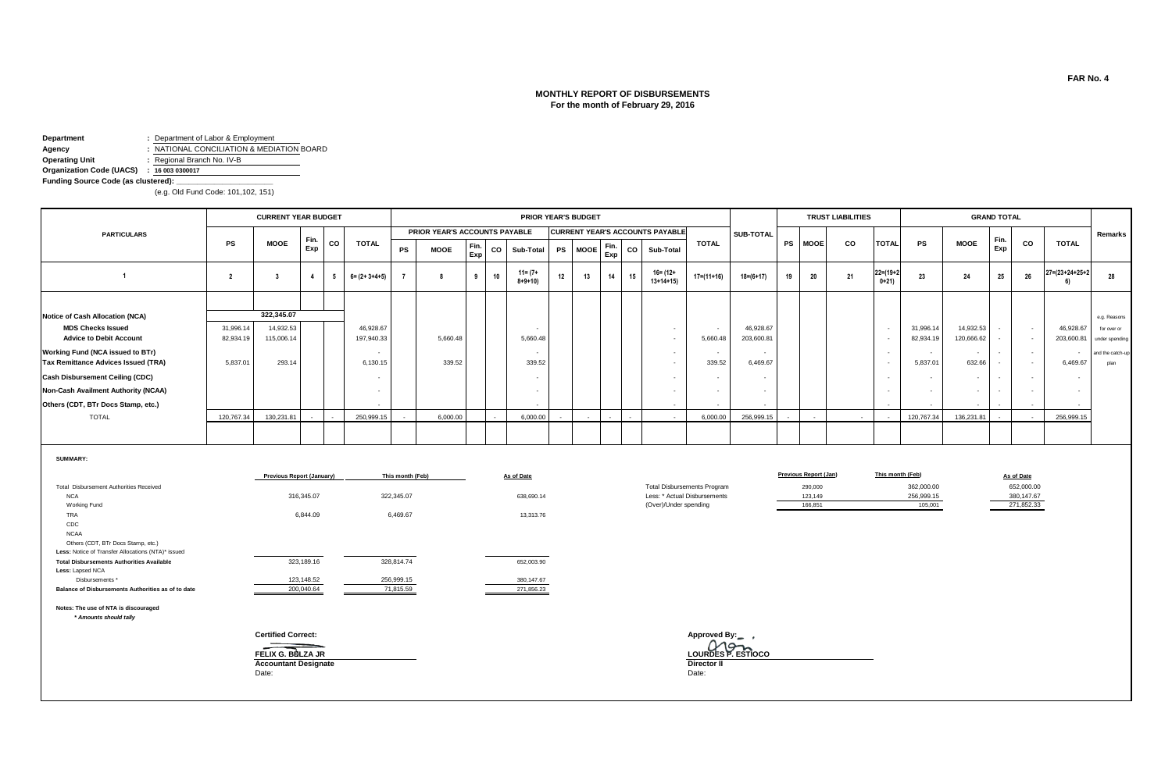# **MONTHLY REPORT OF DISBURSEMENTS For the month of February 29, 2016**

**Department :** Department of Labor & Employment

**Agency**<br> **Agency :** NATIONAL CONCILIATION & MEDIATION BOARD<br> **Operating Unit :** Regional Branch No. IV-B **Operating Unit :** Regional Branch No. IV-B

**Organization Code (UACS) : 16 003 0300017**

**Funding Source Code (as clustered): \_\_\_\_\_\_\_\_\_\_\_\_\_\_\_\_\_\_\_\_\_\_\_**

(e.g. Old Fund Code: 101,102, 151)

|                                                                                          |                | <b>CURRENT YEAR BUDGET</b>                       |                          |    |                          |                         |                               |             |    | <b>PRIOR YEAR'S BUDGET</b>  |           |             |             |    |                                        |                                                                    |                 |    |                              | <b>TRUST LIABILITIES</b> |                                                      |                          |                                    | <b>GRAND TOTAL</b>       |                          |                                 |                          |
|------------------------------------------------------------------------------------------|----------------|--------------------------------------------------|--------------------------|----|--------------------------|-------------------------|-------------------------------|-------------|----|-----------------------------|-----------|-------------|-------------|----|----------------------------------------|--------------------------------------------------------------------|-----------------|----|------------------------------|--------------------------|------------------------------------------------------|--------------------------|------------------------------------|--------------------------|--------------------------|---------------------------------|--------------------------|
| <b>PARTICULARS</b>                                                                       |                |                                                  |                          |    |                          |                         | PRIOR YEAR'S ACCOUNTS PAYABLE |             |    |                             |           |             |             |    | <b>CURRENT YEAR'S ACCOUNTS PAYABLE</b> |                                                                    | SUB-TOTAL       |    |                              |                          |                                                      |                          |                                    |                          |                          |                                 | Remarks                  |
|                                                                                          | <b>PS</b>      | <b>MOOE</b>                                      | Fin.<br>Exp              | CO | <b>TOTAL</b>             | PS                      | <b>MOOE</b>                   | Fin.<br>Exp | CO | Sub-Total                   | <b>PS</b> | <b>MOOE</b> | Fin.<br>Exp | co | Sub-Total                              | <b>TOTAL</b>                                                       |                 | PS | <b>MOOE</b>                  | CO                       | <b>TOTAL</b>                                         | PS                       | <b>MOOE</b>                        | Fin.<br>Exp              | CO                       | <b>TOTAL</b>                    |                          |
| $\overline{1}$                                                                           | $\overline{2}$ | $\overline{\mathbf{3}}$                          | $\overline{4}$           | 5  | $6 = (2 + 3 + 4 + 5)$    | $\overline{7}$          | 8                             | 9           | 10 | $11 = (7 +$<br>$8 + 9 + 10$ | 12        | 13          | 14          | 15 | $16 = (12 +$<br>$13+14+15$             | $17 = (11 + 16)$                                                   | $18 = (6 + 17)$ | 19 | 20                           | 21                       | $22 = (19 + 2)$<br>$0+21$                            | 23                       | 24                                 | 25                       | 26                       | $27 = (23 + 24 + 25 + 2)$<br>6) | 28                       |
|                                                                                          |                |                                                  |                          |    |                          |                         |                               |             |    |                             |           |             |             |    |                                        |                                                                    |                 |    |                              |                          |                                                      |                          |                                    |                          |                          |                                 |                          |
| <b>Notice of Cash Allocation (NCA)</b>                                                   |                | 322,345.07                                       |                          |    |                          |                         |                               |             |    |                             |           |             |             |    |                                        |                                                                    |                 |    |                              |                          |                                                      |                          |                                    |                          |                          |                                 | e.g. Reasons             |
| <b>MDS Checks Issued</b>                                                                 | 31,996.14      | 14,932.53                                        |                          |    | 46,928.67                |                         |                               |             |    |                             |           |             |             |    | $\sim$                                 | $\sim$                                                             | 46,928.67       |    |                              |                          | $\sim$                                               | 31,996.14                | 14,932.53                          | $\overline{\phantom{a}}$ | $\sim$                   | 46,928.67                       | for over or              |
| <b>Advice to Debit Account</b>                                                           | 82,934.19      | 115,006.14                                       |                          |    | 197,940.33               |                         | 5,660.48                      |             |    | 5.660.48                    |           |             |             |    | $\sim$                                 | 5,660.48                                                           | 203,600.81      |    |                              |                          | $\overline{\phantom{a}}$                             | 82,934.19                | 120,666.62                         |                          | $\sim$                   | 203,600.81                      | under spending           |
| Working Fund (NCA issued to BTr)<br>Tax Remittance Advices Issued (TRA)                  | 5,837.01       | 293.14                                           |                          |    | 6,130.15                 |                         | 339.52                        |             |    | 339.52                      |           |             |             |    | $\sim$<br>$\sim$                       | $\overline{\phantom{a}}$<br>339.52                                 | 6,469.67        |    |                              |                          | $\overline{\phantom{a}}$<br>$\overline{\phantom{a}}$ | 5,837.01                 | $\overline{\phantom{a}}$<br>632.66 |                          | $\overline{\phantom{a}}$ | 6,469.67                        | and the catch-up<br>plan |
| <b>Cash Disbursement Ceiling (CDC)</b>                                                   |                |                                                  |                          |    | $\overline{\phantom{a}}$ |                         |                               |             |    |                             |           |             |             |    | $\overline{a}$                         | $\sim$                                                             |                 |    |                              |                          |                                                      | $\overline{\phantom{a}}$ | $\overline{\phantom{a}}$           |                          | ٠                        |                                 |                          |
| Non-Cash Availment Authority (NCAA)                                                      |                |                                                  |                          |    |                          |                         |                               |             |    |                             |           |             |             |    | $\sim$                                 | $\overline{\phantom{a}}$                                           | $\sim$          |    |                              |                          | $\overline{\phantom{a}}$                             | $\overline{\phantom{a}}$ | $\sim$                             |                          |                          | $\sim$                          |                          |
| Others (CDT, BTr Docs Stamp, etc.)                                                       |                |                                                  |                          |    |                          |                         |                               |             |    |                             |           |             |             |    |                                        |                                                                    |                 |    |                              |                          |                                                      |                          |                                    |                          |                          |                                 |                          |
| <b>TOTAL</b>                                                                             | 120,767.34     | 130,231.81                                       |                          |    | 250,999.15               |                         | 6,000.00                      |             |    | 6,000.00                    |           |             |             |    | $\overline{\phantom{a}}$               | 6,000.00                                                           | 256,999.15      |    |                              | $\sim$                   |                                                      | 120,767.34               | 136,231.81                         |                          |                          | 256,999.15                      |                          |
|                                                                                          |                |                                                  |                          |    |                          |                         |                               |             |    |                             |           |             |             |    |                                        |                                                                    |                 |    |                              |                          |                                                      |                          |                                    |                          |                          |                                 |                          |
| <b>SUMMARY:</b>                                                                          |                |                                                  |                          |    |                          |                         |                               |             |    |                             |           |             |             |    |                                        |                                                                    |                 |    |                              |                          |                                                      |                          |                                    |                          |                          |                                 |                          |
|                                                                                          |                | <b>Previous Report (January)</b>                 |                          |    |                          | This month (Feb)        |                               |             |    | As of Date                  |           |             |             |    |                                        |                                                                    |                 |    | <b>Previous Report (Jan)</b> |                          |                                                      | This month (Feb)         |                                    |                          | As of Date               |                                 |                          |
| Total Disbursement Authorities Received<br><b>NCA</b>                                    |                |                                                  | 316,345.07               |    |                          | 322,345.07              |                               |             |    | 638,690.14                  |           |             |             |    |                                        | <b>Total Disbursements Program</b><br>Less: * Actual Disbursements |                 |    | 290,000<br>123,149           |                          |                                                      | 362,000.00<br>256,999.15 |                                    |                          | 652,000.00<br>380,147.67 |                                 |                          |
| Working Fund                                                                             |                |                                                  |                          |    |                          |                         |                               |             |    |                             |           |             |             |    | (Over)/Under spending                  |                                                                    |                 |    | 166,851                      |                          |                                                      | 105,001                  |                                    |                          | 271,852.33               |                                 |                          |
| TRA                                                                                      |                |                                                  | 6,844.09                 |    |                          | 6,469.67                |                               |             |    | 13,313.76                   |           |             |             |    |                                        |                                                                    |                 |    |                              |                          |                                                      |                          |                                    |                          |                          |                                 |                          |
| CDC                                                                                      |                |                                                  |                          |    |                          |                         |                               |             |    |                             |           |             |             |    |                                        |                                                                    |                 |    |                              |                          |                                                      |                          |                                    |                          |                          |                                 |                          |
| <b>NCAA</b>                                                                              |                |                                                  |                          |    |                          |                         |                               |             |    |                             |           |             |             |    |                                        |                                                                    |                 |    |                              |                          |                                                      |                          |                                    |                          |                          |                                 |                          |
| Others (CDT, BTr Docs Stamp, etc.)<br>Less: Notice of Transfer Allocations (NTA)* issued |                |                                                  |                          |    |                          |                         |                               |             |    |                             |           |             |             |    |                                        |                                                                    |                 |    |                              |                          |                                                      |                          |                                    |                          |                          |                                 |                          |
| <b>Total Disbursements Authorities Available</b>                                         |                |                                                  | 323,189.16               |    |                          | 328,814.74              |                               |             |    | 652,003.90                  |           |             |             |    |                                        |                                                                    |                 |    |                              |                          |                                                      |                          |                                    |                          |                          |                                 |                          |
| Less: Lapsed NCA                                                                         |                |                                                  |                          |    |                          |                         |                               |             |    |                             |           |             |             |    |                                        |                                                                    |                 |    |                              |                          |                                                      |                          |                                    |                          |                          |                                 |                          |
| Disbursements *<br>Balance of Disbursements Authorities as of to date                    |                |                                                  | 123,148.52<br>200,040.64 |    |                          | 256,999.15<br>71,815.59 |                               |             |    | 380,147.67<br>271,856.23    |           |             |             |    |                                        |                                                                    |                 |    |                              |                          |                                                      |                          |                                    |                          |                          |                                 |                          |
|                                                                                          |                |                                                  |                          |    |                          |                         |                               |             |    |                             |           |             |             |    |                                        |                                                                    |                 |    |                              |                          |                                                      |                          |                                    |                          |                          |                                 |                          |
| Notes: The use of NTA is discouraged<br>* Amounts should tally                           |                |                                                  |                          |    |                          |                         |                               |             |    |                             |           |             |             |    |                                        |                                                                    |                 |    |                              |                          |                                                      |                          |                                    |                          |                          |                                 |                          |
|                                                                                          |                | <b>Certified Correct:</b>                        |                          |    |                          |                         |                               |             |    |                             |           |             |             |    |                                        | Approved By:__ ,                                                   |                 |    |                              |                          |                                                      |                          |                                    |                          |                          |                                 |                          |
|                                                                                          |                |                                                  |                          |    |                          |                         |                               |             |    |                             |           |             |             |    |                                        | $40 -$<br>LOURDES <sup>Y</sup> . ESTIOCO                           |                 |    |                              |                          |                                                      |                          |                                    |                          |                          |                                 |                          |
|                                                                                          |                | FELIX G. BBLZA JR<br><b>Accountant Designate</b> |                          |    |                          |                         |                               |             |    |                             |           |             |             |    |                                        | Director II                                                        |                 |    |                              |                          |                                                      |                          |                                    |                          |                          |                                 |                          |
|                                                                                          |                | Date:                                            |                          |    |                          |                         |                               |             |    |                             |           |             |             |    |                                        | Date:                                                              |                 |    |                              |                          |                                                      |                          |                                    |                          |                          |                                 |                          |
|                                                                                          |                |                                                  |                          |    |                          |                         |                               |             |    |                             |           |             |             |    |                                        |                                                                    |                 |    |                              |                          |                                                      |                          |                                    |                          |                          |                                 |                          |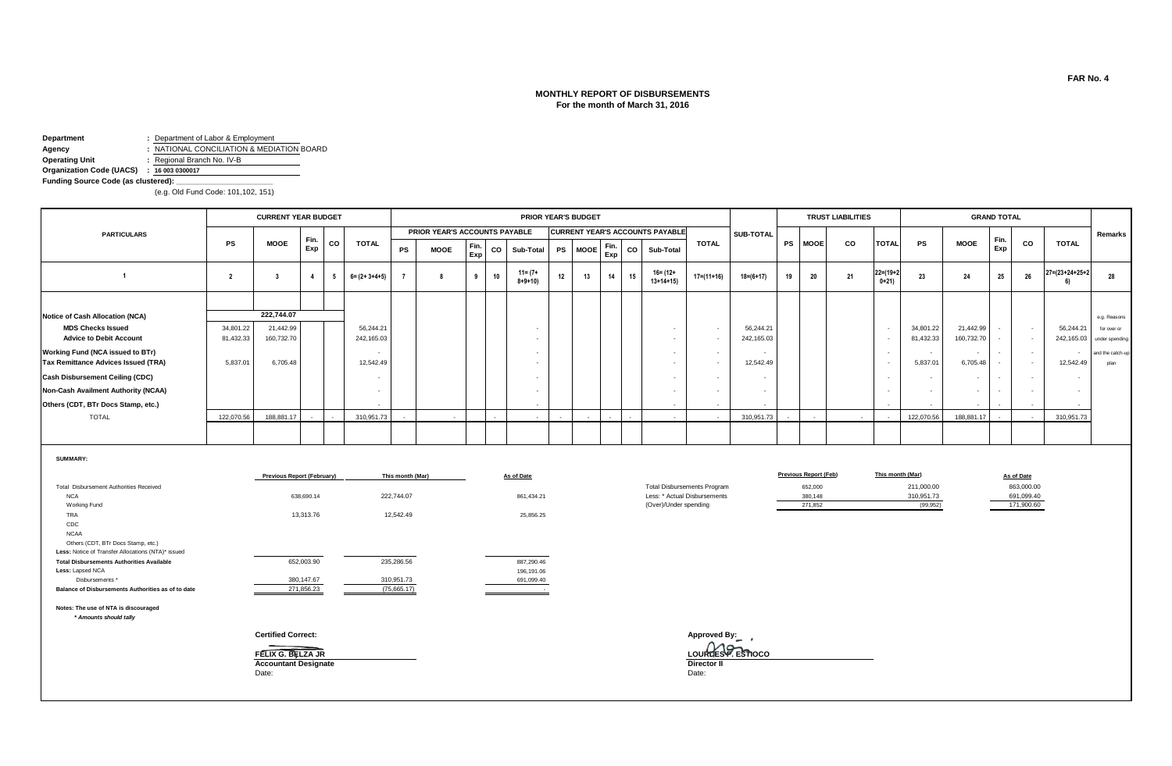# **MONTHLY REPORT OF DISBURSEMENTS For the month of March 31, 2016**

**Department :** Department of Labor & Employment

**Agency**<br> **Agency :** NATIONAL CONCILIATION & MEDIATION BOARD<br> **Operating Unit :** Regional Branch No. IV-B **Operating Unit :** Regional Branch No. IV-B

**Organization Code (UACS) : 16 003 0300017**

**Funding Source Code (as clustered): \_\_\_\_\_\_\_\_\_\_\_\_\_\_\_\_\_\_\_\_\_\_\_**

(e.g. Old Fund Code: 101,102, 151)

|                                                                                                                                                                                                                                                                                   |                        | <b>CURRENT YEAR BUDGET</b>                                                             |                                        |              |                          |                                             |                               |             |    | <b>PRIOR YEAR'S BUDGET</b>                       |           |             |             |                          |                                                                                             |       |                                    |                          |    |                                                               | <b>TRUST LIABILITIES</b> |                                                      |                                                           |                         | <b>GRAND TOTAL</b> |                                                      |                                 |                               |
|-----------------------------------------------------------------------------------------------------------------------------------------------------------------------------------------------------------------------------------------------------------------------------------|------------------------|----------------------------------------------------------------------------------------|----------------------------------------|--------------|--------------------------|---------------------------------------------|-------------------------------|-------------|----|--------------------------------------------------|-----------|-------------|-------------|--------------------------|---------------------------------------------------------------------------------------------|-------|------------------------------------|--------------------------|----|---------------------------------------------------------------|--------------------------|------------------------------------------------------|-----------------------------------------------------------|-------------------------|--------------------|------------------------------------------------------|---------------------------------|-------------------------------|
| <b>PARTICULARS</b>                                                                                                                                                                                                                                                                |                        |                                                                                        |                                        |              |                          |                                             | PRIOR YEAR'S ACCOUNTS PAYABLE |             |    |                                                  |           |             |             |                          | <b>CURRENT YEAR'S ACCOUNTS PAYABLE</b>                                                      |       |                                    | SUB-TOTAL                |    |                                                               |                          |                                                      |                                                           |                         |                    |                                                      |                                 | Remarks                       |
|                                                                                                                                                                                                                                                                                   | <b>PS</b>              | <b>MOOE</b>                                                                            | Fin.<br>Exp                            | CO           | <b>TOTAL</b>             | <b>PS</b>                                   | <b>MOOE</b>                   | Fin.<br>Exp | CO | Sub-Total                                        | <b>PS</b> | <b>MOOE</b> | Fin.<br>Exp | co                       | Sub-Total                                                                                   |       | <b>TOTAL</b>                       |                          | PS | <b>MOOE</b>                                                   | CO                       | <b>TOTAL</b>                                         | <b>PS</b>                                                 | <b>MOOE</b>             | Fin.<br>Exp        | CO                                                   | <b>TOTAL</b>                    |                               |
| $\overline{1}$                                                                                                                                                                                                                                                                    | $\overline{2}$         | $\overline{\mathbf{3}}$                                                                | $\mathbf{A}$                           | 5            | $6 = (2 + 3 + 4 + 5)$    | $\overline{7}$                              | 8                             | 9           | 10 | $11 = (7 +$<br>$8 + 9 + 10$                      | 12        | 13          | 14          | 15                       | $16 = (12 +$<br>$13+14+15$                                                                  |       | $17 = (11 + 16)$                   | $18 = (6 + 17)$          | 19 | 20                                                            | 21                       | $22 = (19 + 2)$<br>$0+21$                            | 23                                                        | 24                      | 25                 | 26                                                   | $27 = (23 + 24 + 25 + 2)$<br>6) | 28                            |
| Notice of Cash Allocation (NCA)                                                                                                                                                                                                                                                   |                        | 222.744.07                                                                             |                                        |              |                          |                                             |                               |             |    |                                                  |           |             |             |                          |                                                                                             |       |                                    |                          |    |                                                               |                          |                                                      |                                                           |                         |                    |                                                      |                                 | e.g. Reasons                  |
| <b>MDS Checks Issued</b><br><b>Advice to Debit Account</b>                                                                                                                                                                                                                        | 34,801.22<br>81,432.33 | 21,442.99<br>160,732.70                                                                |                                        |              | 56,244.21<br>242,165.03  |                                             |                               |             |    |                                                  |           |             |             |                          | $\overline{\phantom{a}}$<br>$\sim$                                                          |       | $\sim$<br>$\sim$                   | 56,244.21<br>242,165.03  |    |                                                               |                          | $\overline{\phantom{a}}$<br>$\overline{\phantom{a}}$ | 34,801.22<br>81,432.33                                    | 21,442.99<br>160,732.70 |                    | $\sim$                                               | 56,244.21<br>242,165.03         | for over or<br>under spending |
| Working Fund (NCA issued to BTr)<br>Tax Remittance Advices Issued (TRA)                                                                                                                                                                                                           | 5,837.01               | 6,705.48                                                                               |                                        |              | 12,542.49                |                                             |                               |             |    |                                                  |           |             |             |                          | $\overline{\phantom{a}}$<br>۰.                                                              |       | $\sim$<br>$\sim$                   | 12,542.49                |    |                                                               |                          | $\overline{\phantom{a}}$<br>$\overline{\phantom{a}}$ | $\overline{\phantom{a}}$<br>5,837.01                      | $\sim$<br>6,705.48      |                    | $\overline{\phantom{a}}$<br>$\overline{\phantom{a}}$ | $\sim$<br>12,542.49             | and the catch-up<br>plan      |
| <b>Cash Disbursement Ceiling (CDC)</b>                                                                                                                                                                                                                                            |                        |                                                                                        |                                        |              | $\overline{\phantom{a}}$ |                                             |                               |             |    |                                                  |           |             |             |                          | $\sim$                                                                                      |       | $\sim$                             |                          |    |                                                               |                          | $\overline{\phantom{a}}$                             | $\overline{\phantom{a}}$                                  | $\sim$                  |                    |                                                      |                                 |                               |
| Non-Cash Availment Authority (NCAA)                                                                                                                                                                                                                                               |                        |                                                                                        |                                        |              |                          |                                             |                               |             |    |                                                  |           |             |             |                          | $\overline{a}$                                                                              |       | $\sim$                             | $\overline{\phantom{a}}$ |    |                                                               |                          | $\overline{\phantom{a}}$                             | ٠                                                         | $\sim$                  |                    |                                                      |                                 |                               |
| Others (CDT, BTr Docs Stamp, etc.)                                                                                                                                                                                                                                                |                        |                                                                                        |                                        |              |                          |                                             |                               |             |    |                                                  |           |             |             |                          |                                                                                             |       |                                    |                          |    |                                                               |                          |                                                      |                                                           |                         |                    |                                                      |                                 |                               |
| <b>TOTAL</b>                                                                                                                                                                                                                                                                      | 122,070.56             | 188,881.17                                                                             |                                        | $\mathbf{r}$ | 310,951.73               |                                             |                               |             |    |                                                  |           |             |             | $\overline{\phantom{a}}$ | $\overline{\phantom{a}}$                                                                    |       |                                    | 310.951.73               |    |                                                               | $\sim$                   | $\overline{a}$                                       | 122,070.56                                                | 188,881.17              |                    |                                                      | 310.951.73                      |                               |
|                                                                                                                                                                                                                                                                                   |                        |                                                                                        |                                        |              |                          |                                             |                               |             |    |                                                  |           |             |             |                          |                                                                                             |       |                                    |                          |    |                                                               |                          |                                                      |                                                           |                         |                    |                                                      |                                 |                               |
| SUMMARY:<br>Total Disbursement Authorities Received<br><b>NCA</b><br>Working Fund<br>TRA<br>CDC<br><b>NCAA</b>                                                                                                                                                                    |                        | <b>Previous Report (February)</b>                                                      | 638,690.14<br>13,313.76                |              |                          | This month (Mar)<br>222,744.07<br>12,542.49 |                               |             |    | As of Date<br>861,434.21<br>25,856.25            |           |             |             |                          | <b>Total Disbursements Program</b><br>Less: * Actual Disbursements<br>(Over)/Under spending |       |                                    |                          |    | <b>Previous Report (Feb)</b><br>652,000<br>380,148<br>271,852 |                          |                                                      | This month (Mar)<br>211,000.00<br>310,951.73<br>(99, 952) |                         |                    | As of Date<br>863,000.00<br>691,099.40<br>171,900.60 |                                 |                               |
| Others (CDT, BTr Docs Stamp, etc.)<br>Less: Notice of Transfer Allocations (NTA)* issued<br><b>Total Disbursements Authorities Available</b><br>Less: Lapsed NCA<br>Disbursements '<br>Balance of Disbursements Authorities as of to date<br>Notes: The use of NTA is discouraged |                        |                                                                                        | 652,003.90<br>380,147.67<br>271.856.23 |              |                          | 235,286.56<br>310,951.73<br>(75,665.17)     |                               |             |    | 887,290.46<br>196,191.06<br>691,099.40<br>$\sim$ |           |             |             |                          |                                                                                             |       |                                    |                          |    |                                                               |                          |                                                      |                                                           |                         |                    |                                                      |                                 |                               |
| * Amounts should tally                                                                                                                                                                                                                                                            |                        | <b>Certified Correct:</b><br>FELIX G. BELZA JR<br><b>Accountant Designate</b><br>Date: |                                        |              |                          |                                             |                               |             |    |                                                  |           |             |             |                          |                                                                                             | Date: | Approved By:<br><b>Director II</b> | LOURDES P. ESTIOCO       |    |                                                               |                          |                                                      |                                                           |                         |                    |                                                      |                                 |                               |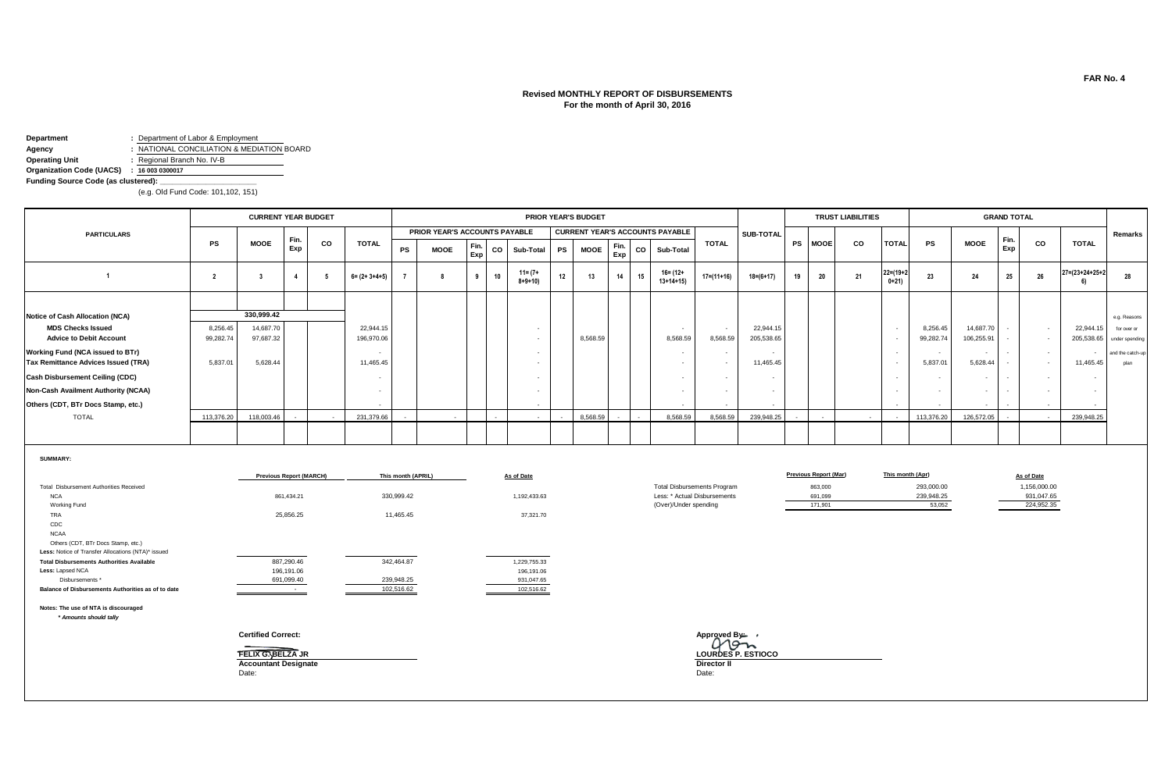# **Revised MONTHLY REPORT OF DISBURSEMENTS For the month of April 30, 2016**

**Department :** Department of Labor & Employment

**Agency :** NATIONAL CONCILIATION & MEDIATION BOARD

**Operating Unit :** Regional Branch No. IV-B

**Organization Code (UACS) : 16 003 0300017**

**Funding Source Code (as clustered): \_\_\_\_\_\_\_\_\_\_\_\_\_\_\_\_\_\_\_\_\_\_\_**

(e.g. Old Fund Code: 101,102, 151)

|                                        |            | <b>CURRENT YEAR BUDGET</b> |      |           |                       |           |                               |             |    |                             |           | PRIOR YEAR'S BUDGET |             |    |                                        |              |                 |           |             | <b>TRUST LIABILITIES</b> |                           |            |                          | <b>GRAND TOTAL</b> |           |                           |                  |
|----------------------------------------|------------|----------------------------|------|-----------|-----------------------|-----------|-------------------------------|-------------|----|-----------------------------|-----------|---------------------|-------------|----|----------------------------------------|--------------|-----------------|-----------|-------------|--------------------------|---------------------------|------------|--------------------------|--------------------|-----------|---------------------------|------------------|
| <b>PARTICULARS</b>                     |            |                            | Fin. |           |                       |           | PRIOR YEAR'S ACCOUNTS PAYABLE |             |    |                             |           |                     |             |    | <b>CURRENT YEAR'S ACCOUNTS PAYABLE</b> |              | SUB-TOTAL       |           |             |                          |                           |            |                          |                    |           |                           | Remarks          |
|                                        | <b>PS</b>  | <b>MOOE</b>                | Exp  | <b>CO</b> | <b>TOTAL</b>          | <b>PS</b> | <b>MOOE</b>                   | Fin.<br>Exp | CO | Sub-Total                   | <b>PS</b> | <b>MOOE</b>         | Fin.<br>Exp | co | Sub-Total                              | <b>TOTAL</b> |                 | <b>PS</b> | <b>MOOE</b> | <b>CO</b>                | <b>TOTAL</b>              | <b>PS</b>  | <b>MOOE</b>              | Fin.<br>Exp        | <b>CO</b> | <b>TOTAL</b>              |                  |
|                                        |            |                            |      | 5         | $6 = (2 + 3 + 4 + 5)$ |           |                               | 9           | 10 | $11 = (7 +$<br>$8 + 9 + 10$ | 12        | 13                  | 14          | 15 | $16 = (12 +$<br>$13+14+15$             | 17=(11+16)   | $18 = (6 + 17)$ | 19        | 20          | 21                       | $22 = (19 + 2)$<br>$0+21$ | 23         | 24                       | 25                 | 26        | $27 = (23 + 24 + 25 + 2)$ | - 28             |
|                                        |            |                            |      |           |                       |           |                               |             |    |                             |           |                     |             |    |                                        |              |                 |           |             |                          |                           |            |                          |                    |           |                           |                  |
| <b>Notice of Cash Allocation (NCA)</b> |            | 330,999.42                 |      |           |                       |           |                               |             |    |                             |           |                     |             |    |                                        |              |                 |           |             |                          |                           |            |                          |                    |           |                           | e.g. Reasons     |
| <b>MDS Checks Issued</b>               | 8,256.45   | 14,687.70                  |      |           | 22,944.15             |           |                               |             |    |                             |           |                     |             |    |                                        | $\sim$       | 22,944.15       |           |             |                          |                           | 8,256.45   | 14,687.70                |                    | $\sim$    | 22,944.15                 | for over or      |
| <b>Advice to Debit Account</b>         | 99,282.74  | 97,687.32                  |      |           | 196,970.06            |           |                               |             |    |                             |           | 8,568.59            |             |    | 8,568.59                               | 8,568.59     | 205,538.65      |           |             |                          |                           | 99,282.74  | 106,255.91               |                    |           | 205,538.65                | under spending   |
| Working Fund (NCA issued to BTr)       |            |                            |      |           |                       |           |                               |             |    |                             |           |                     |             |    |                                        | $\sim$       |                 |           |             |                          |                           | . .        |                          |                    | $\sim$    | $\overline{\phantom{a}}$  | and the catch-up |
| Tax Remittance Advices Issued (TRA)    | 5,837.01   | 5,628.44                   |      |           | 11,465.45             |           |                               |             |    |                             |           |                     |             |    |                                        | $\sim$       | 11,465.45       |           |             |                          |                           | 5,837.01   | 5,628.44                 |                    | $\sim$    | 11,465.45                 | plan             |
| <b>Cash Disbursement Ceiling (CDC)</b> |            |                            |      |           |                       |           |                               |             |    |                             |           |                     |             |    |                                        |              |                 |           |             |                          |                           | $\sim$     |                          |                    | $\sim$    |                           |                  |
| Non-Cash Availment Authority (NCAA)    |            |                            |      |           | $\sim$                |           |                               |             |    |                             |           |                     |             |    |                                        |              | ٠               |           |             |                          |                           |            | $\overline{\phantom{a}}$ | $\sim$             |           |                           |                  |
| Others (CDT, BTr Docs Stamp, etc.)     |            |                            |      |           |                       |           |                               |             |    |                             |           |                     |             |    |                                        | $\sim$       |                 |           |             |                          |                           |            |                          |                    | $\sim$    |                           |                  |
| <b>TOTAL</b>                           | 113,376.20 | 118,003.46                 |      | $\sim$    | 231,379.66            |           | $\overline{\phantom{a}}$      |             |    |                             |           | 8.568.59            |             |    | 8,568.59                               | 8,568.59     | 239,948.25      |           |             | $\sim$                   |                           | 113,376.20 | 126,572.05               |                    | $\sim$    | 239,948.25                |                  |
|                                        |            |                            |      |           |                       |           |                               |             |    |                             |           |                     |             |    |                                        |              |                 |           |             |                          |                           |            |                          |                    |           |                           |                  |

**SUMMARY:**

|                                                    | <b>Previous Report (MARCH)</b>    | This month (APRIL) | As of Date   |                                    | <b>Previous Report (Mar)</b> | This month (Apr) | As of Date   |
|----------------------------------------------------|-----------------------------------|--------------------|--------------|------------------------------------|------------------------------|------------------|--------------|
| Total Disbursement Authorities Received            |                                   |                    |              | <b>Total Disbursements Program</b> | 863,000                      | 293,000.00       | 1,156,000.00 |
| <b>NCA</b>                                         | 861,434.21                        | 330,999.42         | 1,192,433.63 | Less: * Actual Disbursements       | 691,099                      | 239,948.25       | 931,047.65   |
| Working Fund                                       |                                   |                    |              | (Over)/Under spending              | 171,901                      | 53,052           | 224,952.35   |
| TRA                                                | 25,856.25                         | 11,465.45          | 37,321.70    |                                    |                              |                  |              |
| CDC                                                |                                   |                    |              |                                    |                              |                  |              |
| <b>NCAA</b>                                        |                                   |                    |              |                                    |                              |                  |              |
| Others (CDT, BTr Docs Stamp, etc.)                 |                                   |                    |              |                                    |                              |                  |              |
| Less: Notice of Transfer Allocations (NTA)* issued |                                   |                    |              |                                    |                              |                  |              |
| <b>Total Disbursements Authorities Available</b>   | 887,290.46                        | 342,464.87         | 1,229,755.33 |                                    |                              |                  |              |
| Less: Lapsed NCA                                   | 196,191.06                        |                    | 196,191.06   |                                    |                              |                  |              |
| Disbursements *                                    | 691,099.40                        | 239,948.25         | 931,047.65   |                                    |                              |                  |              |
| Balance of Disbursements Authorities as of to date | <b>Contract Contract Contract</b> | 102,516.62         | 102,516.62   |                                    |                              |                  |              |
| Notes: The use of NTA is discouraged               |                                   |                    |              |                                    |                              |                  |              |
| * Amounts should tally                             |                                   |                    |              |                                    |                              |                  |              |
|                                                    | <b>Certified Correct:</b>         |                    |              | Approved By— →                     |                              |                  |              |
|                                                    |                                   |                    |              | 19n                                |                              |                  |              |
|                                                    | <b>FELIX G. BELZA JR</b>          |                    |              | LOURDES P. ESTIOCO                 |                              |                  |              |
|                                                    | <b>Accountant Designate</b>       |                    |              | <b>Director II</b>                 |                              |                  |              |
|                                                    | Date:                             |                    |              | Date:                              |                              |                  |              |
|                                                    |                                   |                    |              |                                    |                              |                  |              |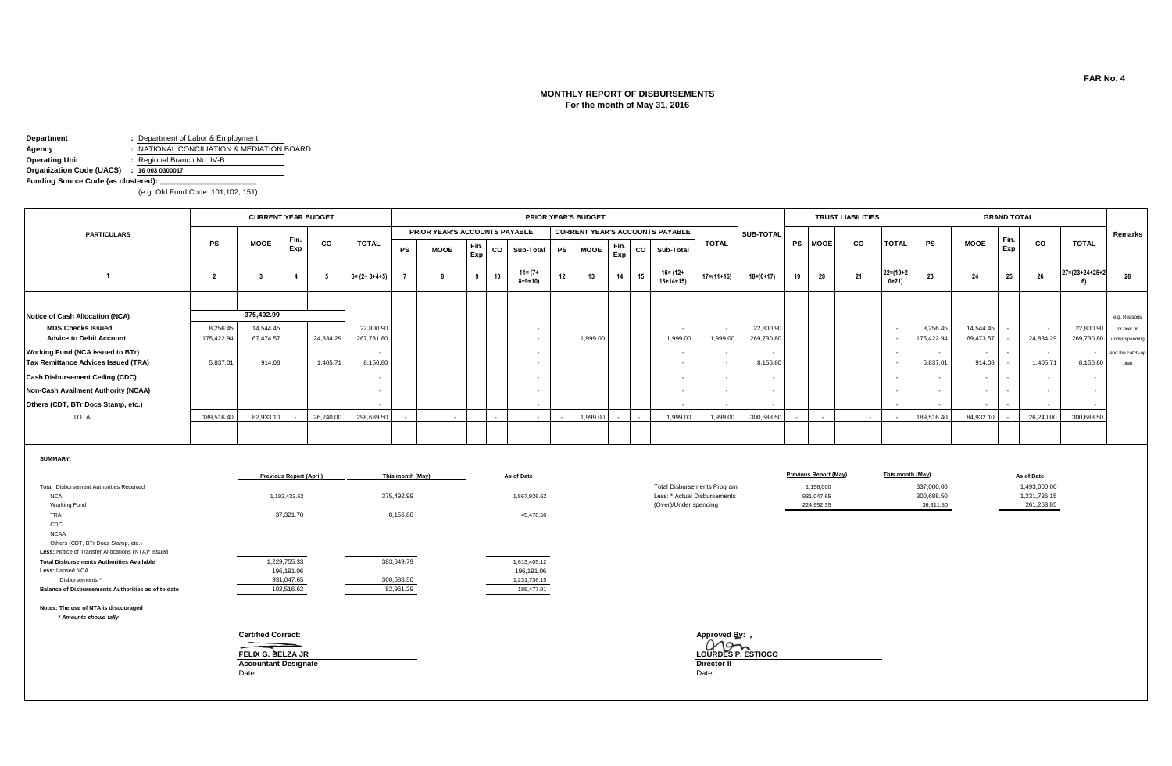# **MONTHLY REPORT OF DISBURSEMENTS For the month of May 31, 2016**

**Department :** Department of Labor & Employment

**Agency :** NATIONAL CONCILIATION & MEDIATION BOARD

**Operating Unit :** Regional Branch No. IV-B

**Organization Code (UACS) : 16 003 0300017**

**Funding Source Code (as clustered): \_\_\_\_\_\_\_\_\_\_\_\_\_\_\_\_\_\_\_\_\_\_\_**

(e.g. Old Fund Code: 101,102, 151)

|                                        |            | <b>CURRENT YEAR BUDGET</b> |                |           |                       |           |                               |             |    |                             |           | <b>PRIOR YEAR'S BUDGET</b> |             |    |                                        |              |                  |           |             | <b>TRUST LIABILITIES</b> |                           |                          |             | <b>GRAND TOTAL</b> |           |                          |                           |
|----------------------------------------|------------|----------------------------|----------------|-----------|-----------------------|-----------|-------------------------------|-------------|----|-----------------------------|-----------|----------------------------|-------------|----|----------------------------------------|--------------|------------------|-----------|-------------|--------------------------|---------------------------|--------------------------|-------------|--------------------|-----------|--------------------------|---------------------------|
| <b>PARTICULARS</b>                     |            |                            |                |           |                       |           | PRIOR YEAR'S ACCOUNTS PAYABLE |             |    |                             |           |                            |             |    | <b>CURRENT YEAR'S ACCOUNTS PAYABLE</b> |              | <b>SUB-TOTAL</b> |           |             |                          |                           |                          |             |                    |           |                          | Remarks                   |
|                                        | <b>PS</b>  | <b>MOOE</b>                | Fin.<br>Exp    | co        | <b>TOTAL</b>          | <b>PS</b> | <b>MOOE</b>                   | Fin.<br>Exp | CO | Sub-Total                   | <b>PS</b> | <b>MOOE</b>                | Fin.<br>Exp | CO | Sub-Total                              | <b>TOTAL</b> |                  | <b>PS</b> | <b>MOOE</b> | co                       | <b>TOTAL</b>              | PS                       | <b>MOOE</b> | Fin.<br>Exp        | <b>CO</b> | <b>TOTAL</b>             |                           |
|                                        |            |                            | $\overline{4}$ |           | $6 = (2 + 3 + 4 + 5)$ |           |                               |             | 10 | $11 = (7 +$<br>$8 + 9 + 10$ | 12        | 13                         | 14          | 15 | $16 = (12 +$<br>$13+14+15$             | $17=(11+16)$ | $18 = (6 + 17)$  |           | 20          | 21                       | $22 = (19 + 2)$<br>$0+21$ | 23                       | 24          | 25                 | 26        | 27=(23+24+25+2           | 28                        |
|                                        |            |                            |                |           |                       |           |                               |             |    |                             |           |                            |             |    |                                        |              |                  |           |             |                          |                           |                          |             |                    |           |                          |                           |
| <b>Notice of Cash Allocation (NCA)</b> |            | 375,492.99                 |                |           |                       |           |                               |             |    |                             |           |                            |             |    |                                        |              |                  |           |             |                          |                           |                          |             |                    |           |                          | e.g. Reasons              |
| <b>MDS Checks Issued</b>               | 8,256.45   | 14,544.45                  |                |           | 22,800.90             |           |                               |             |    |                             |           |                            |             |    |                                        | $\sim$       | 22,800.90        |           |             |                          |                           | 8,256.45                 | 14,544.45   |                    | $\sim$    | 22,800.90                | for over or               |
| <b>Advice to Debit Account</b>         | 175,422.94 | 67,474.57                  |                | 24,834.29 | 267,731.80            |           |                               |             |    |                             |           | 1,999.00                   |             |    | 1,999.00                               | 1,999.00     | 269,730.80       |           |             |                          |                           | 175,422.94               | 69,473.57   |                    | 24,834.29 |                          | 269,730.80 under spending |
| Working Fund (NCA issued to BTr)       |            |                            |                |           | $\sim$                |           |                               |             |    |                             |           |                            |             |    |                                        |              | . .              |           |             |                          |                           | $\overline{\phantom{a}}$ | $\sim$      | $\sim$             | $\sim$    | $\overline{\phantom{a}}$ | and the catch-up          |
| Tax Remittance Advices Issued (TRA)    | 5,837.01   | 914.08                     |                | 1,405.71  | 8,156.80              |           |                               |             |    |                             |           |                            |             |    |                                        |              | 8,156.80         |           |             |                          |                           | 5,837.01                 | 914.08      |                    | 1,405.71  | 8,156.80                 | plan                      |
| <b>Cash Disbursement Ceiling (CDC)</b> |            |                            |                |           | $\sim$                |           |                               |             |    |                             |           |                            |             |    |                                        |              | . .              |           |             |                          |                           | $\sim$                   | $\sim$      | $\sim$             | $\sim$    | $\sim$                   |                           |
| Non-Cash Availment Authority (NCAA)    |            |                            |                |           |                       |           |                               |             |    |                             |           |                            |             |    |                                        |              | ٠                |           |             |                          |                           |                          |             |                    | $\sim$    | $\overline{\phantom{a}}$ |                           |
| Others (CDT, BTr Docs Stamp, etc.)     |            |                            |                |           | $\sim$                |           |                               |             |    |                             |           |                            |             |    |                                        | $\sim$       | $\sim$           |           |             |                          |                           | $\overline{\phantom{a}}$ |             |                    | $\sim$    |                          |                           |
| <b>TOTAL</b>                           | 189,516.40 | 82,933.10                  | $\sim$         | 26,240.00 | 298,689.50            |           |                               |             |    |                             |           | 1.999.00                   | $\sim$      |    | 1.999.00                               | 1.999.00     | 300.688.50       |           |             |                          |                           | 189,516.40               | 84,932.10   |                    | 26,240.00 | 300,688.50               |                           |
|                                        |            |                            |                |           |                       |           |                               |             |    |                             |           |                            |             |    |                                        |              |                  |           |             |                          |                           |                          |             |                    |           |                          |                           |

**SUMMARY:**

|                                                                                          | <b>Previous Report (April)</b> | This month (May) | As of Date   |                                    | <b>Previous Report (May)</b> | This month (May) | As of Date   |
|------------------------------------------------------------------------------------------|--------------------------------|------------------|--------------|------------------------------------|------------------------------|------------------|--------------|
| Total Disbursement Authorities Received                                                  |                                |                  |              | <b>Total Disbursements Program</b> | 1,156,000                    | 337,000.00       | 1,493,000.00 |
| <b>NCA</b>                                                                               | 1,192,433.63                   | 375,492.99       | 1,567,926.62 | Less: * Actual Disbursements       | 931,047.65                   | 300,688.50       | 1,231,736.15 |
| Working Fund                                                                             |                                |                  |              | (Over)/Under spending              | 224,952.35                   | 36,311.50        | 261,263.85   |
| TRA                                                                                      | 37,321.70                      | 8,156.80         | 45,478.50    |                                    |                              |                  |              |
| CDC                                                                                      |                                |                  |              |                                    |                              |                  |              |
| <b>NCAA</b>                                                                              |                                |                  |              |                                    |                              |                  |              |
| Others (CDT, BTr Docs Stamp, etc.)<br>Less: Notice of Transfer Allocations (NTA)* issued |                                |                  |              |                                    |                              |                  |              |
|                                                                                          |                                |                  |              |                                    |                              |                  |              |
| <b>Total Disbursements Authorities Available</b>                                         | 1,229,755.33                   | 383,649.79       | 1,613,405.12 |                                    |                              |                  |              |
| Less: Lapsed NCA                                                                         | 196,191.06                     |                  | 196,191.06   |                                    |                              |                  |              |
| Disbursements *                                                                          | 931,047.65                     | 300,688.50       | 1,231,736.15 |                                    |                              |                  |              |
| Balance of Disbursements Authorities as of to date                                       | 102,516.62                     | 82,961.29        | 185,477.91   |                                    |                              |                  |              |
| Notes: The use of NTA is discouraged                                                     |                                |                  |              |                                    |                              |                  |              |
| * Amounts should tally                                                                   |                                |                  |              |                                    |                              |                  |              |
|                                                                                          | <b>Certified Correct:</b>      |                  |              | Approved By: ,                     |                              |                  |              |
|                                                                                          |                                |                  |              | LOURDES P. ESTIOCO                 |                              |                  |              |
|                                                                                          | FELIX G. BELZA JR              |                  |              |                                    |                              |                  |              |
|                                                                                          | <b>Accountant Designate</b>    |                  |              | Director II                        |                              |                  |              |
|                                                                                          | Date:                          |                  |              | Date:                              |                              |                  |              |
|                                                                                          |                                |                  |              |                                    |                              |                  |              |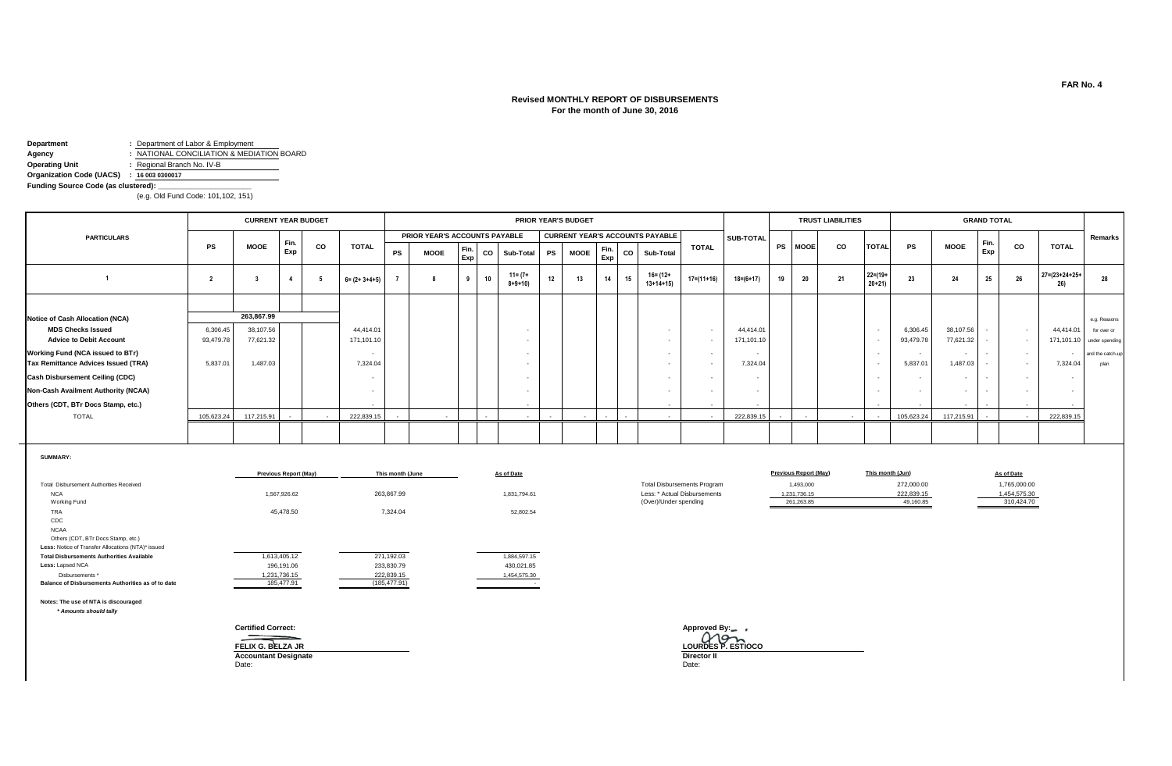## **Revised MONTHLY REPORT OF DISBURSEMENTS For the month of June 30, 2016**

**Department :** Department of Labor & Employment

**Agency :** NATIONAL CONCILIATION & MEDIATION BOARD

**Operating Unit :** Regional Branch No. IV-B

**Organization Code (UACS) : 16 003 0300017**

**Funding Source Code (as clustered):** 

(e.g. Old Fund Code: 101,102, 151)

|                                        |            | <b>CURRENT YEAR BUDGET</b> |      |        |                       |           |                               |                 |        |                             |           | <b>PRIOR YEAR'S BUDGET</b> |                            |        |                                        |                  |                 |           |                          | <b>TRUST LIABILITIES</b> |                           |            |                          | <b>GRAND TOTAL</b> |                   |                               |                           |
|----------------------------------------|------------|----------------------------|------|--------|-----------------------|-----------|-------------------------------|-----------------|--------|-----------------------------|-----------|----------------------------|----------------------------|--------|----------------------------------------|------------------|-----------------|-----------|--------------------------|--------------------------|---------------------------|------------|--------------------------|--------------------|-------------------|-------------------------------|---------------------------|
| <b>PARTICULARS</b>                     |            |                            | Fin. |        |                       |           | PRIOR YEAR'S ACCOUNTS PAYABLE |                 |        |                             |           |                            |                            |        | <b>CURRENT YEAR'S ACCOUNTS PAYABLE</b> |                  | SUB-TOTAL       |           |                          |                          |                           |            |                          |                    |                   |                               | Remarks                   |
|                                        | <b>PS</b>  | <b>MOOE</b>                | Exp  | CO     | <b>TOTAL</b>          | <b>PS</b> | <b>MOOE</b>                   | $F$ Fin.<br>Exp | CO     | Sub-Total                   | <b>PS</b> | <b>MOOE</b>                | $\blacksquare$ Fin.<br>Exp | co     | Sub-Total                              | <b>TOTAL</b>     |                 | <b>PS</b> | <b>MOOE</b>              | <b>CO</b>                | <b>TOTAL</b>              | <b>PS</b>  | <b>MOOE</b>              | Fin<br>Exp         | CO                | <b>TOTAL</b>                  |                           |
|                                        |            |                            | - 4  |        | $6 = (2 + 3 + 4 + 5)$ |           |                               |                 | 10     | $11 = (7 +$<br>$8 + 9 + 10$ | 12        | 13                         | 14                         | 15     | $16 = (12 +$<br>$13+14+15$             | $17 = (11 + 16)$ | $18 = (6 + 17)$ |           | 20                       | 21                       | $22 = (19 +$<br>$20 + 21$ | 23         | 24                       | 25                 | 26                | $27 = (23 + 24 + 25 +$<br>26) | 28                        |
|                                        |            |                            |      |        |                       |           |                               |                 |        |                             |           |                            |                            |        |                                        |                  |                 |           |                          |                          |                           |            |                          |                    |                   |                               |                           |
| Notice of Cash Allocation (NCA)        |            | 263,867.99                 |      |        |                       |           |                               |                 |        |                             |           |                            |                            |        |                                        |                  |                 |           |                          |                          |                           |            |                          |                    |                   |                               | e.g. Reasons              |
| <b>MDS Checks Issued</b>               | 6,306.45   | 38,107.56                  |      |        | 44.414.01             |           |                               |                 |        |                             |           |                            |                            |        |                                        | $\sim$           | 44,414.01       |           |                          |                          |                           | 6,306.45   | 38,107.56                |                    | $\sim$ 100 $\sim$ | 44,414.01                     | for over or               |
| <b>Advice to Debit Account</b>         | 93,479.78  | 77,621.32                  |      |        | 171,101.10            |           |                               |                 |        |                             |           |                            |                            |        |                                        |                  | 171,101.10      |           |                          |                          |                           | 93,479.78  | 77,621.32                |                    | $\sim$            |                               | 171,101.10 under spending |
| Working Fund (NCA issued to BTr)       |            |                            |      |        | $\sim$                |           |                               |                 |        |                             |           |                            |                            |        |                                        |                  |                 |           |                          |                          |                           | $\sim$     | $\sim$                   |                    | $\sim$            | $\sim$                        | and the catch-up          |
| Tax Remittance Advices Issued (TRA)    | 5,837.01   | 1,487.03                   |      |        | 7,324.04              |           |                               |                 |        |                             |           |                            |                            |        |                                        |                  | 7,324.04        |           |                          |                          |                           | 5,837.01   | 1,487.03                 |                    | $\sim$ 100 $\sim$ | 7,324.04                      | plan                      |
| <b>Cash Disbursement Ceiling (CDC)</b> |            |                            |      |        |                       |           |                               |                 |        |                             |           |                            |                            |        |                                        |                  |                 |           |                          |                          |                           |            |                          |                    | $\sim$            |                               |                           |
| Non-Cash Availment Authority (NCAA)    |            |                            |      |        |                       |           |                               |                 |        |                             |           |                            |                            |        |                                        |                  |                 |           |                          |                          |                           |            | $\overline{\phantom{a}}$ |                    |                   |                               |                           |
| Others (CDT, BTr Docs Stamp, etc.)     |            |                            |      |        | $\sim$                |           |                               |                 |        |                             |           |                            |                            |        |                                        |                  |                 |           |                          |                          |                           |            |                          |                    |                   | $\sim$                        |                           |
| <b>TOTAL</b>                           | 105.623.24 | 117,215.91                 |      | $\sim$ | 222,839.15            |           | $\sim$                        |                 | $\sim$ | $\sim$                      |           |                            | $\sim$                     | $\sim$ |                                        |                  | 222.839.15      |           | $\overline{\phantom{0}}$ | $\sim$                   |                           | 105,623.24 | 117,215.91               |                    | $\sim$ 100 $\sim$ | 222,839.15                    |                           |
|                                        |            |                            |      |        |                       |           |                               |                 |        |                             |           |                            |                            |        |                                        |                  |                 |           |                          |                          |                           |            |                          |                    |                   |                               |                           |

**SUMMARY:**

|                                                    | <b>Previous Report (May)</b> | This month (June | As of Date   |                                    | <b>Previous Report (May)</b> | This month (Jun) | As of Date   |
|----------------------------------------------------|------------------------------|------------------|--------------|------------------------------------|------------------------------|------------------|--------------|
| Total Disbursement Authorities Received            |                              |                  |              | <b>Total Disbursements Program</b> | 1,493,000                    | 272,000.00       | 1,765,000.00 |
| <b>NCA</b>                                         | 1,567,926.62                 | 263,867.99       | 1,831,794.61 | Less: * Actual Disbursements       | 1,231,736.15                 | 222.839.15       | 1.454.575.30 |
| <b>Working Fund</b>                                |                              |                  |              | (Over)/Under spending              | 261.263.85                   | 49,160.85        | 310,424.70   |
| TRA                                                | 45,478.50                    | 7,324.04         | 52,802.54    |                                    |                              |                  |              |
| CDC                                                |                              |                  |              |                                    |                              |                  |              |
| <b>NCAA</b>                                        |                              |                  |              |                                    |                              |                  |              |
| Others (CDT, BTr Docs Stamp, etc.)                 |                              |                  |              |                                    |                              |                  |              |
| Less: Notice of Transfer Allocations (NTA)* issued |                              |                  |              |                                    |                              |                  |              |
| <b>Total Disbursements Authorities Available</b>   | 1,613,405.12                 | 271.192.03       | 1,884,597.15 |                                    |                              |                  |              |
| Less: Lapsed NCA                                   | 196,191.06                   | 233,830.79       | 430.021.85   |                                    |                              |                  |              |
| Disbursements *                                    | 1,231,736.15                 | 222,839.15       | 1,454,575.30 |                                    |                              |                  |              |
| Balance of Disbursements Authorities as of to date | 185,477.91                   | (185, 477.91)    |              |                                    |                              |                  |              |

**Notes: The use of NTA is discouraged**

 *\* Amounts should tally*

**FELIX G. BELZA JR**<br> **Accountant Designate Director II**<br>
Date: Date: Date:

Date: Date:

**Certified Correct: Approved By: FELIX G. BELZA JR LOURDES P. ESTIOCO**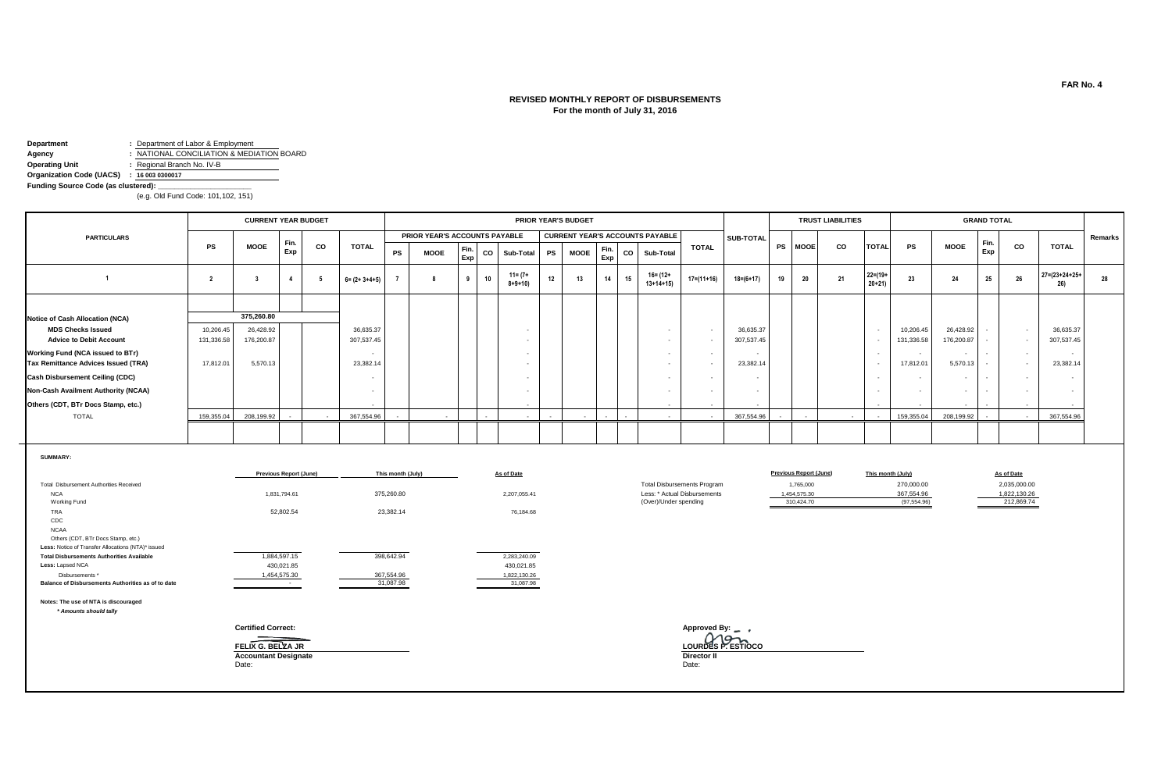# **REVISED MONTHLY REPORT OF DISBURSEMENTS For the month of July 31, 2016**

**Department :** Department of Labor & Employment

**Agency : NATIONAL CONCILIATION & MEDIATION BOARD** 

**Operating Unit :** Regional Branch No. IV-B

**Organization Code (UACS) : 16 003 0300017**

Funding Source Code (as clustered):

(e.g. Old Fund Code: 101,102, 151)

|                                     |            | <b>CURRENT YEAR BUDGET</b> |      |        |                       |           |                               |             |    |                             |           | <b>PRIOR YEAR'S BUDGET</b>             |             |    |                          |              |                 |                |             | <b>TRUST LIABILITIES</b> |                         |            |                          | <b>GRAND TOTAL</b> |            |                               |         |
|-------------------------------------|------------|----------------------------|------|--------|-----------------------|-----------|-------------------------------|-------------|----|-----------------------------|-----------|----------------------------------------|-------------|----|--------------------------|--------------|-----------------|----------------|-------------|--------------------------|-------------------------|------------|--------------------------|--------------------|------------|-------------------------------|---------|
| <b>PARTICULARS</b>                  |            |                            | Fin. |        |                       |           | PRIOR YEAR'S ACCOUNTS PAYABLE |             |    |                             |           | <b>CURRENT YEAR'S ACCOUNTS PAYABLE</b> |             |    |                          |              | SUB-TOTAL       |                |             |                          |                         |            |                          |                    |            |                               | Remarks |
|                                     | <b>PS</b>  | <b>MOOE</b>                | Exp  | CO     | <b>TOTAL</b>          | <b>PS</b> | <b>MOOE</b>                   | Fin.<br>Exp | CO | Sub-Total                   | <b>PS</b> | <b>MOOE</b>                            | Fin.<br>Exp | CO | Sub-Total                | <b>TOTAL</b> |                 | <b>PS</b>      | <b>MOOE</b> | CO                       | <b>TOTAL</b>            | <b>PS</b>  | <b>MOOE</b>              | Exp                | CO         | <b>TOTAL</b>                  |         |
|                                     |            |                            |      |        | $6 = (2 + 3 + 4 + 5)$ |           |                               |             | 10 | $11 = (7 +$<br>$8 + 9 + 10$ | 12        | 13                                     | 14          | 15 | 16= (12+<br>$13+14+15$   | 17=(11+16)   | $18 = (6 + 17)$ | 19             | 20          | 21                       | $22 = (19 +$<br>$20+21$ | 23         | 24                       | 25                 | 26         | $27 = (23 + 24 + 25 +$<br>26) | 28      |
|                                     |            |                            |      |        |                       |           |                               |             |    |                             |           |                                        |             |    |                          |              |                 |                |             |                          |                         |            |                          |                    |            |                               |         |
| Notice of Cash Allocation (NCA)     |            | 375,260.80                 |      |        |                       |           |                               |             |    |                             |           |                                        |             |    |                          |              |                 |                |             |                          |                         |            |                          |                    |            |                               |         |
| <b>MDS Checks Issued</b>            | 10,206.45  | 26,428.92                  |      |        | 36,635.37             |           |                               |             |    |                             |           |                                        |             |    |                          |              | 36,635.37       |                |             |                          |                         | 10,206.45  | 26,428.92                |                    | $\sim$     | 36,635.37                     |         |
| <b>Advice to Debit Account</b>      | 131,336.58 | 176,200.87                 |      |        | 307,537.45            |           |                               |             |    |                             |           |                                        |             |    |                          |              | 307,537.45      |                |             |                          |                         | 131,336.58 | 176,200.87               |                    |            | 307,537.45                    |         |
| Working Fund (NCA issued to BTr)    |            |                            |      |        |                       |           |                               |             |    |                             |           |                                        |             |    |                          |              |                 |                |             |                          |                         |            | $\overline{\phantom{0}}$ |                    | $\sim$     | $\overline{\phantom{a}}$      |         |
| Tax Remittance Advices Issued (TRA) | 17,812.01  | 5,570.13                   |      |        | 23,382.14             |           |                               |             |    |                             |           |                                        |             |    |                          |              | 23,382.14       |                |             |                          |                         | 17,812.01  | 5,570.13                 |                    | $\sim$     | 23,382.14                     |         |
| Cash Disbursement Ceiling (CDC)     |            |                            |      |        |                       |           |                               |             |    |                             |           |                                        |             |    | $\overline{\phantom{a}}$ |              | $\sim$          |                |             |                          |                         |            | $\overline{\phantom{0}}$ | $\sim$             | $\sim$     |                               |         |
| Non-Cash Availment Authority (NCAA) |            |                            |      |        |                       |           |                               |             |    |                             |           |                                        |             |    |                          |              | $\sim$          |                |             |                          |                         |            | $\overline{\phantom{0}}$ |                    |            |                               |         |
| Others (CDT, BTr Docs Stamp, etc.)  |            |                            |      |        | $\sim$                |           |                               |             |    | $\overline{\phantom{a}}$    |           |                                        |             |    | $\sim$                   | $\sim$       | $\sim$          |                |             |                          |                         |            | $\overline{\phantom{a}}$ |                    | $\sim$     | $\sim$                        |         |
| <b>TOTAL</b>                        | 159,355.04 | 208,199.92                 |      | $\sim$ | 367,554.96            |           |                               |             |    |                             |           |                                        |             |    | $\sim$                   | $\sim$       | 367,554.96      | $\overline{a}$ |             | $\sim$                   | $\sim$                  | 159,355.04 | 208,199.92               |                    | $\sim$ $-$ | 367,554.96                    |         |
|                                     |            |                            |      |        |                       |           |                               |             |    |                             |           |                                        |             |    |                          |              |                 |                |             |                          |                         |            |                          |                    |            |                               |         |

**SUMMARY:**

|                                                    | <b>Previous Report (June)</b> | This month (July) | As of Date   |                                    | <b>Previous Report (June)</b> | This month (July) | As of Date   |
|----------------------------------------------------|-------------------------------|-------------------|--------------|------------------------------------|-------------------------------|-------------------|--------------|
| Total Disbursement Authorities Received            |                               |                   |              | <b>Total Disbursements Program</b> | 1,765,000                     | 270,000.00        | 2,035,000.00 |
| <b>NCA</b>                                         | 1,831,794.61                  | 375,260.80        | 2,207,055.41 | Less: * Actual Disbursements       | 1,454,575.30                  | 367,554.96        | 1,822,130.26 |
| Working Fund                                       |                               |                   |              | (Over)/Under spending              | 310,424.70                    | (97, 554.96)      | 212,869.74   |
| TRA                                                | 52,802.54                     | 23,382.14         | 76,184.68    |                                    |                               |                   |              |
| CDC                                                |                               |                   |              |                                    |                               |                   |              |
| <b>NCAA</b>                                        |                               |                   |              |                                    |                               |                   |              |
| Others (CDT, BTr Docs Stamp, etc.)                 |                               |                   |              |                                    |                               |                   |              |
| Less: Notice of Transfer Allocations (NTA)* issued |                               |                   |              |                                    |                               |                   |              |
| <b>Total Disbursements Authorities Available</b>   | 1,884,597.15                  | 398,642.94        | 2,283,240.09 |                                    |                               |                   |              |
| Less: Lapsed NCA                                   | 430,021.85                    |                   | 430,021.85   |                                    |                               |                   |              |
| Disbursements *                                    | 1,454,575.30                  | 367,554.96        | 1,822,130.26 |                                    |                               |                   |              |
| Balance of Disbursements Authorities as of to date | and the control of the        | 31,087.98         | 31,087.98    |                                    |                               |                   |              |
| Notes: The use of NTA is discouraged               |                               |                   |              |                                    |                               |                   |              |
| * Amounts should tally                             |                               |                   |              |                                    |                               |                   |              |
|                                                    | <b>Certified Correct:</b>     |                   |              | Approved By: $\_\_\_\$             |                               |                   |              |
|                                                    |                               |                   |              | LOURDES P. ESTIOCO                 |                               |                   |              |
|                                                    | FELIX G. BELZA JR             |                   |              |                                    |                               |                   |              |
|                                                    | <b>Accountant Designate</b>   |                   |              | <b>Director II</b>                 |                               |                   |              |
|                                                    | Date:                         |                   |              | Date:                              |                               |                   |              |
|                                                    |                               |                   |              |                                    |                               |                   |              |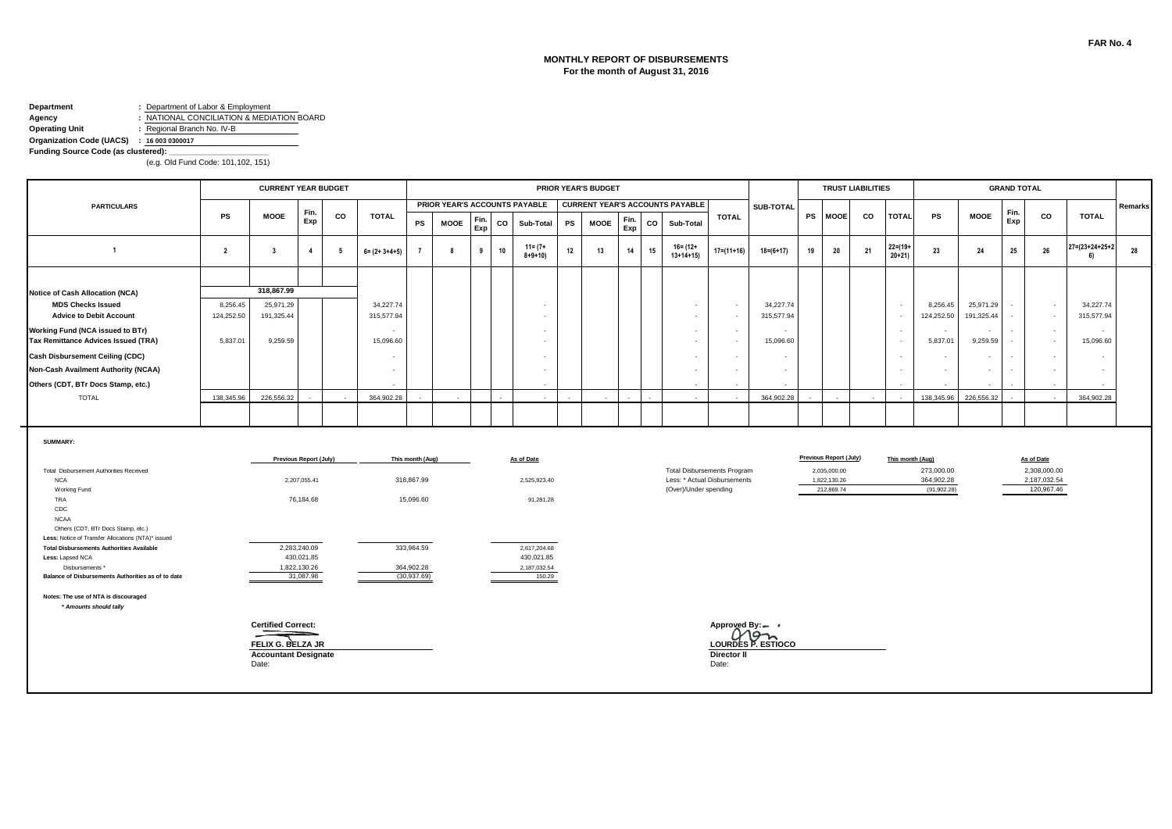# **MONTHLY REPORT OF DISBURSEMENTS For the month of August 31, 2016**

#### **Department :** Department of Labor & Employment **Agency :** NATIONAL CONCILIATION & MEDIATION BOARD<br> **Operating Unit :** Regional Branch No. IV-B **Operating Unit :** Regional Branch No. IV-B

**Organization Code (UACS) : 16 003 0300017**

**Funding Source Code (as clustered):** 

|                                                                                                                                                                                                                                                          |                        | <b>CURRENT YEAR BUDGET</b>                                                                         |                |                                          |                                       |                                            |                                                      |             | <b>PRIOR YEAR'S BUDGET</b> |                                         |    |             |             |    |                                        |                                                                    |                         |           |                                                                             |    | <b>TRUST LIABILITIES</b>           |                                          |                                      |                  |                                                          |                         |         |
|----------------------------------------------------------------------------------------------------------------------------------------------------------------------------------------------------------------------------------------------------------|------------------------|----------------------------------------------------------------------------------------------------|----------------|------------------------------------------|---------------------------------------|--------------------------------------------|------------------------------------------------------|-------------|----------------------------|-----------------------------------------|----|-------------|-------------|----|----------------------------------------|--------------------------------------------------------------------|-------------------------|-----------|-----------------------------------------------------------------------------|----|------------------------------------|------------------------------------------|--------------------------------------|------------------|----------------------------------------------------------|-------------------------|---------|
| <b>PARTICULARS</b>                                                                                                                                                                                                                                       |                        |                                                                                                    | Fin.           |                                          |                                       |                                            |                                                      |             |                            | PRIOR YEAR'S ACCOUNTS PAYABLE           |    |             |             |    | <b>CURRENT YEAR'S ACCOUNTS PAYABLE</b> |                                                                    | SUB-TOTAL               |           |                                                                             |    |                                    |                                          |                                      | Fin.             |                                                          |                         | Remarks |
|                                                                                                                                                                                                                                                          | PS                     | MOOE                                                                                               | Exp            | CO                                       | TOTAL                                 | PS                                         | <b>MOOE</b>                                          | Fin.<br>Exp | CO                         | Sub-Total                               | PS | <b>MOOE</b> | Fin.<br>Exp | CO | Sub-Total                              | <b>TOTAL</b>                                                       |                         | <b>PS</b> | <b>MOOE</b>                                                                 | CO | <b>TOTAL</b>                       | PS                                       | <b>MOOE</b>                          | Exp              | CO                                                       | <b>TOTAL</b>            |         |
| $\overline{1}$                                                                                                                                                                                                                                           | $\overline{2}$         | $\overline{\mathbf{3}}$                                                                            | $\overline{4}$ | -5                                       | $6 = (2 + 3 + 4 + 5)$                 |                                            | -8                                                   | 9           | 10                         | $11 = (7 +$<br>$8 + 9 + 10$             | 12 | 13          | 14          | 15 | $16 = (12 +$<br>$13+14+15$             | $17 = (11 + 16)$                                                   | $18 = (6 + 17)$         | 19        | 20                                                                          | 21 | $22 = (19 +$<br>$20+21$            | 23                                       | 24                                   | 25               | 26                                                       | 27=(23+24+25+2<br>-61   | 28      |
|                                                                                                                                                                                                                                                          |                        |                                                                                                    |                |                                          |                                       |                                            |                                                      |             |                            |                                         |    |             |             |    |                                        |                                                                    |                         |           |                                                                             |    |                                    |                                          |                                      |                  |                                                          |                         |         |
| Notice of Cash Allocation (NCA)<br><b>MDS Checks Issued</b><br><b>Advice to Debit Account</b>                                                                                                                                                            | 8,256.45<br>124,252.50 | 318,867.99<br>25,971.29<br>191,325.44                                                              |                |                                          | 34,227.74<br>315,577.94               |                                            |                                                      |             |                            | $\overline{\phantom{a}}$<br>$\sim$      |    |             |             |    | $\sim$<br>$\sim$                       | $\sim$<br>$\sim$                                                   | 34,227.74<br>315,577.94 |           |                                                                             |    | $\sim$<br>$\overline{\phantom{a}}$ | 8,256.45<br>124,252.50                   | 25,971.29<br>191,325.44              |                  | $\sim$<br>$\sim$                                         | 34,227.74<br>315,577.94 |         |
| Working Fund (NCA issued to BTr)<br><b>Tax Remittance Advices Issued (TRA)</b>                                                                                                                                                                           | 5,837.01               | 9,259.59                                                                                           |                |                                          | $\overline{\phantom{a}}$<br>15,096.60 |                                            |                                                      |             |                            | $\sim$<br>$\sim$                        |    |             |             |    | $\sim$                                 | $\sim$<br>$\overline{a}$                                           | 15,096.60               |           |                                                                             |    | $\sim$<br>$\sim$                   | $\sim$<br>5,837.01                       | $\overline{\phantom{a}}$<br>9,259.59 | $\sim$<br>$\sim$ | $\sim$<br>$\sim$                                         | 15,096.60               |         |
| <b>Cash Disbursement Ceiling (CDC)</b>                                                                                                                                                                                                                   |                        |                                                                                                    |                |                                          | $\overline{\phantom{a}}$              |                                            |                                                      |             |                            | $\sim$                                  |    |             |             |    | $\sim$                                 | $\sim$                                                             | $\sim$                  |           |                                                                             |    | $\overline{\phantom{a}}$           | $\sim$                                   | $\sim$                               | $\sim$           | $\sim$                                                   | $\sim$                  |         |
| <b>Non-Cash Availment Authority (NCAA)</b>                                                                                                                                                                                                               |                        |                                                                                                    |                |                                          | $\sim$                                |                                            |                                                      |             |                            | $\sim$                                  |    |             |             |    | $\sim$                                 | $\sim$                                                             | $\sim$                  |           |                                                                             |    | $\sim$                             | $\sim$                                   |                                      | $\sim$           | $\sim$                                                   | $\sim$                  |         |
| Others (CDT, BTr Docs Stamp, etc.)                                                                                                                                                                                                                       | 138,345.96             | 226.556.32                                                                                         |                |                                          | 364,902.28                            |                                            |                                                      |             |                            | $\sim$                                  |    |             |             |    | $\sim$                                 |                                                                    | 364.902.28              |           |                                                                             |    |                                    | 138,345.96                               | 226,556.32                           |                  | $\sim$                                                   | 364.902.28              |         |
| <b>TOTAL</b>                                                                                                                                                                                                                                             |                        |                                                                                                    |                |                                          |                                       |                                            |                                                      |             |                            |                                         |    |             |             |    |                                        |                                                                    |                         |           |                                                                             |    |                                    |                                          |                                      |                  |                                                          |                         |         |
| SUMMARY:<br>Total Disbursement Authorities Received<br><b>NCA</b><br>Working Fund<br>TRA<br>CDC                                                                                                                                                          |                        | Previous Report (July)<br>This month (Aug)<br>2,207,055.41<br>318,867.99<br>76,184.68<br>15,096.60 |                |                                          |                                       |                                            |                                                      |             |                            | As of Date<br>2,525,923.40<br>91,281.28 |    |             |             |    | (Over)/Under spending                  | <b>Total Disbursements Program</b><br>Less: * Actual Disbursements |                         |           | <b>Previous Report (July)</b><br>2,035,000.00<br>1.822.130.26<br>212.869.74 |    | This month (Aug)                   | 273,000.00<br>364,902.28<br>(91, 902.28) |                                      |                  | As of Date<br>2,308,000.00<br>2,187,032.54<br>120,967.46 |                         |         |
| <b>NCAA</b><br>Others (CDT, BTr Docs Stamp, etc.)<br>Less: Notice of Transfer Allocations (NTA)* issued<br><b>Total Disbursements Authorities Available</b><br>Less: Lapsed NCA<br>Disbursements *<br>Balance of Disbursements Authorities as of to date |                        | 2,283,240.09<br>430,021.85<br>1,822,130.26<br>31,087.98                                            |                | 333,964.59<br>364,902.28<br>(30, 937.69) |                                       |                                            | 2,617,204.68<br>430,021.85<br>2,187,032.54<br>150.29 |             |                            |                                         |    |             |             |    |                                        |                                                                    |                         |           |                                                                             |    |                                    |                                          |                                      |                  |                                                          |                         |         |
| Notes: The use of NTA is discouraged<br>* Amounts should tally                                                                                                                                                                                           |                        | <b>Certified Correct:</b><br>FELIX G. BELZA JR                                                     |                |                                          |                                       | Approved By:-<br>Món<br>LOURDES P. ESTIOCO |                                                      |             |                            |                                         |    |             |             |    |                                        |                                                                    |                         |           |                                                                             |    |                                    |                                          |                                      |                  |                                                          |                         |         |
|                                                                                                                                                                                                                                                          |                        | <b>Accountant Designate</b><br>Date:                                                               |                |                                          |                                       | <b>Director II</b><br>Date:                |                                                      |             |                            |                                         |    |             |             |    |                                        |                                                                    |                         |           |                                                                             |    |                                    |                                          |                                      |                  |                                                          |                         |         |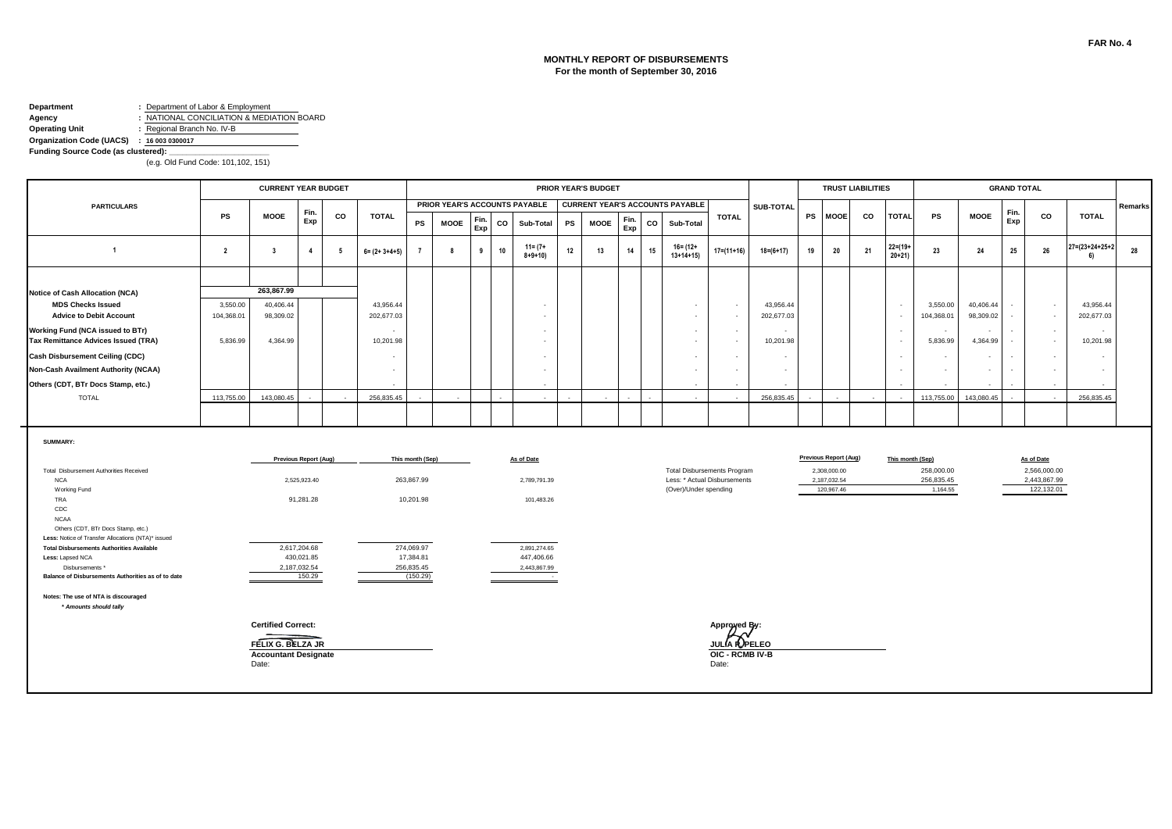### **MONTHLY REPORT OF DISBURSEMENTS For the month of September 30, 2016**

#### **Department :** Department of Labor & Employment **Agency :** NATIONAL CONCILIATION & MEDIATION BOARD<br> **Operating Unit :** Regional Branch No. IV-B **Operating Unit :** Regional Branch No. IV-B

**Organization Code (UACS) : 16 003 0300017**

**Funding Source Code (as clustered):** 

|                                                                                          |                        | <b>CURRENT YEAR BUDGET</b>  |                            |    |                                       |                                                       |             |             | <b>PRIOR YEAR'S BUDGET</b> |                               |    |             |             |  |    |                                                       |                  |                         |    |                            | <b>TRUST LIABILITIES</b> |                         |                        |                        |             | <b>GRAND TOTAL</b>         |                                 |         |
|------------------------------------------------------------------------------------------|------------------------|-----------------------------|----------------------------|----|---------------------------------------|-------------------------------------------------------|-------------|-------------|----------------------------|-------------------------------|----|-------------|-------------|--|----|-------------------------------------------------------|------------------|-------------------------|----|----------------------------|--------------------------|-------------------------|------------------------|------------------------|-------------|----------------------------|---------------------------------|---------|
| <b>PARTICULARS</b>                                                                       |                        |                             |                            |    |                                       |                                                       |             |             |                            | PRIOR YEAR'S ACCOUNTS PAYABLE |    |             |             |  |    | <b>CURRENT YEAR'S ACCOUNTS PAYABLE</b>                |                  | SUB-TOTAL               |    |                            |                          |                         |                        |                        |             |                            |                                 | Remarks |
|                                                                                          | PS                     | <b>MOOE</b>                 | Fin.<br>Exp                | co | TOTAL                                 | PS                                                    | <b>MOOE</b> | Fin.<br>Exp | CO                         | Sub-Total                     | PS | <b>MOOE</b> | Fin.<br>Exp |  | CO | Sub-Total                                             | <b>TOTAL</b>     |                         |    | PS MOOE                    | co                       | <b>TOTAL</b>            | PS                     | <b>MOOE</b>            | Fin.<br>Exp | co                         | <b>TOTAL</b>                    |         |
| $\overline{1}$                                                                           | $\overline{2}$         | $\overline{\mathbf{3}}$     | $\overline{4}$             | 5  | $6 = (2 + 3 + 4 + 5)$                 | $\overline{7}$                                        | 8           | 9           | 10                         | $11 = (7 +$<br>$8 + 9 + 10$   | 12 | 13          | 14          |  | 15 | $16 = (12 +$<br>$13+14+15$                            | $17 = (11 + 16)$ | $18 = (6 + 17)$         | 19 | 20                         | 21                       | $22 = (19 +$<br>$20+21$ | 23                     | 24                     | 25          | 26                         | $27 = (23 + 24 + 25 + 2)$<br>6) | 28      |
|                                                                                          |                        |                             |                            |    |                                       |                                                       |             |             |                            |                               |    |             |             |  |    |                                                       |                  |                         |    |                            |                          |                         |                        |                        |             |                            |                                 |         |
| Notice of Cash Allocation (NCA)                                                          |                        | 263,867.99                  |                            |    |                                       |                                                       |             |             |                            |                               |    |             |             |  |    |                                                       |                  |                         |    |                            |                          |                         |                        |                        |             |                            |                                 |         |
| <b>MDS Checks Issued</b><br><b>Advice to Debit Account</b>                               | 3,550.00<br>104,368.01 | 40,406.44<br>98,309.02      |                            |    | 43,956.44<br>202,677.03               |                                                       |             |             |                            |                               |    |             |             |  |    | $\sim$<br>$\sim$                                      | $\sim$<br>$\sim$ | 43,956.44<br>202,677.03 |    |                            |                          | $\sim$<br>$\sim$        | 3,550.00<br>104,368.01 | 40,406.44<br>98,309.02 |             | $\sim$<br>$\sim$           | 43,956.44<br>202,677.03         |         |
| Working Fund (NCA issued to BTr)<br><b>Tax Remittance Advices Issued (TRA)</b>           | 5,836.99               | 4,364.99                    |                            |    | $\overline{\phantom{a}}$<br>10,201.98 |                                                       |             |             |                            | $\sim$                        |    |             |             |  |    | $\sim$<br>$\sim$                                      | $\sim$<br>$\sim$ | 10,201.98               |    |                            |                          | $\sim$<br>$\sim$        | $\sim$<br>5,836.99     | 4,364.99               |             | $\sim$<br>$\sim$           | $\overline{a}$<br>10,201.98     |         |
| <b>Cash Disbursement Ceiling (CDC)</b>                                                   |                        |                             |                            |    | $\overline{\phantom{a}}$              |                                                       |             |             |                            | $\sim$                        |    |             |             |  |    | $\overline{\phantom{a}}$                              | $\sim$           |                         |    |                            |                          | $\sim$                  | $\sim$                 |                        |             | $\sim$                     |                                 |         |
| Non-Cash Availment Authority (NCAA)                                                      |                        |                             |                            |    | $\overline{\phantom{a}}$              |                                                       |             |             |                            |                               |    |             |             |  |    | $\overline{\phantom{a}}$                              | $\sim$           |                         |    |                            |                          |                         |                        |                        |             | $\overline{\phantom{a}}$   |                                 |         |
| Others (CDT, BTr Docs Stamp, etc.)                                                       |                        |                             |                            |    |                                       |                                                       |             |             |                            |                               |    |             |             |  |    | $\overline{\phantom{a}}$                              |                  |                         |    |                            |                          |                         |                        |                        |             | $\sim$                     |                                 |         |
| <b>TOTAL</b>                                                                             | 113,755.00             | 143.080.45                  |                            |    | 256.835.45                            |                                                       |             |             |                            |                               |    |             |             |  |    |                                                       |                  | 256,835.45              |    |                            |                          |                         | 113,755.00             | 143,080.45             |             |                            | 256,835.45                      |         |
|                                                                                          |                        |                             |                            |    |                                       |                                                       |             |             |                            |                               |    |             |             |  |    |                                                       |                  |                         |    |                            |                          |                         |                        |                        |             |                            |                                 |         |
| SUMMARY:                                                                                 |                        |                             | Previous Report (Aug)      |    |                                       | This month (Sep)<br>As of Date                        |             |             |                            |                               |    |             |             |  |    |                                                       |                  |                         |    | Previous Report (Aug)      |                          |                         | This month (Sep)       |                        |             | As of Date                 |                                 |         |
| <b>Total Disbursement Authorities Received</b>                                           |                        |                             |                            |    |                                       |                                                       |             |             |                            |                               |    |             |             |  |    | <b>Total Disbursements Program</b>                    |                  |                         |    | 2,308,000.00               |                          |                         | 258,000.00             |                        |             | 2,566,000.00               |                                 |         |
| <b>NCA</b><br>Working Fund                                                               |                        |                             | 2,525,923.40               |    |                                       | 263,867.99                                            |             |             |                            | 2,789,791.39                  |    |             |             |  |    | Less: * Actual Disbursements<br>(Over)/Under spending |                  |                         |    | 2,187,032.54<br>120,967.46 |                          |                         | 256,835.45<br>1,164.55 |                        |             | 2,443,867.99<br>122,132.01 |                                 |         |
| TRA                                                                                      |                        |                             | 91,281.28                  |    |                                       | 10,201.98                                             |             |             |                            | 101,483.26                    |    |             |             |  |    |                                                       |                  |                         |    |                            |                          |                         |                        |                        |             |                            |                                 |         |
| CDC<br><b>NCAA</b>                                                                       |                        |                             |                            |    |                                       |                                                       |             |             |                            |                               |    |             |             |  |    |                                                       |                  |                         |    |                            |                          |                         |                        |                        |             |                            |                                 |         |
| Others (CDT, BTr Docs Stamp, etc.)<br>Less: Notice of Transfer Allocations (NTA)* issued |                        |                             |                            |    |                                       |                                                       |             |             |                            |                               |    |             |             |  |    |                                                       |                  |                         |    |                            |                          |                         |                        |                        |             |                            |                                 |         |
| <b>Total Disbursements Authorities Available</b>                                         |                        |                             | 2,617,204.68               |    |                                       | 274,069.97                                            |             |             |                            | 2,891,274.65                  |    |             |             |  |    |                                                       |                  |                         |    |                            |                          |                         |                        |                        |             |                            |                                 |         |
| Less: Lapsed NCA<br>Disbursements *                                                      |                        |                             | 430,021.85<br>2,187,032.54 |    |                                       | 447,406.66<br>17,384.81<br>256,835.45<br>2,443,867.99 |             |             |                            |                               |    |             |             |  |    |                                                       |                  |                         |    |                            |                          |                         |                        |                        |             |                            |                                 |         |
| Balance of Disbursements Authorities as of to date                                       |                        |                             | 150.29                     |    |                                       | (150.29)                                              |             |             |                            |                               |    |             |             |  |    |                                                       |                  |                         |    |                            |                          |                         |                        |                        |             |                            |                                 |         |
| Notes: The use of NTA is discouraged<br>* Amounts should tally                           |                        |                             |                            |    |                                       |                                                       |             |             |                            |                               |    |             |             |  |    |                                                       |                  |                         |    |                            |                          |                         |                        |                        |             |                            |                                 |         |
|                                                                                          |                        | <b>Certified Correct:</b>   |                            |    |                                       | Approyed By:                                          |             |             |                            |                               |    |             |             |  |    |                                                       |                  |                         |    |                            |                          |                         |                        |                        |             |                            |                                 |         |
|                                                                                          |                        | FELIX G. BELZA JR           |                            |    |                                       |                                                       |             |             |                            |                               |    |             |             |  |    |                                                       | JULÍA IVPELEO    |                         |    |                            |                          |                         |                        |                        |             |                            |                                 |         |
|                                                                                          |                        | <b>Accountant Designate</b> |                            |    |                                       |                                                       |             |             |                            |                               |    |             |             |  |    |                                                       | OIC - RCMB IV-B  |                         |    |                            |                          |                         |                        |                        |             |                            |                                 |         |
|                                                                                          |                        | Date:                       |                            |    |                                       |                                                       |             |             |                            |                               |    |             |             |  |    |                                                       | Date:            |                         |    |                            |                          |                         |                        |                        |             |                            |                                 |         |
|                                                                                          |                        |                             |                            |    |                                       |                                                       |             |             |                            |                               |    |             |             |  |    |                                                       |                  |                         |    |                            |                          |                         |                        |                        |             |                            |                                 |         |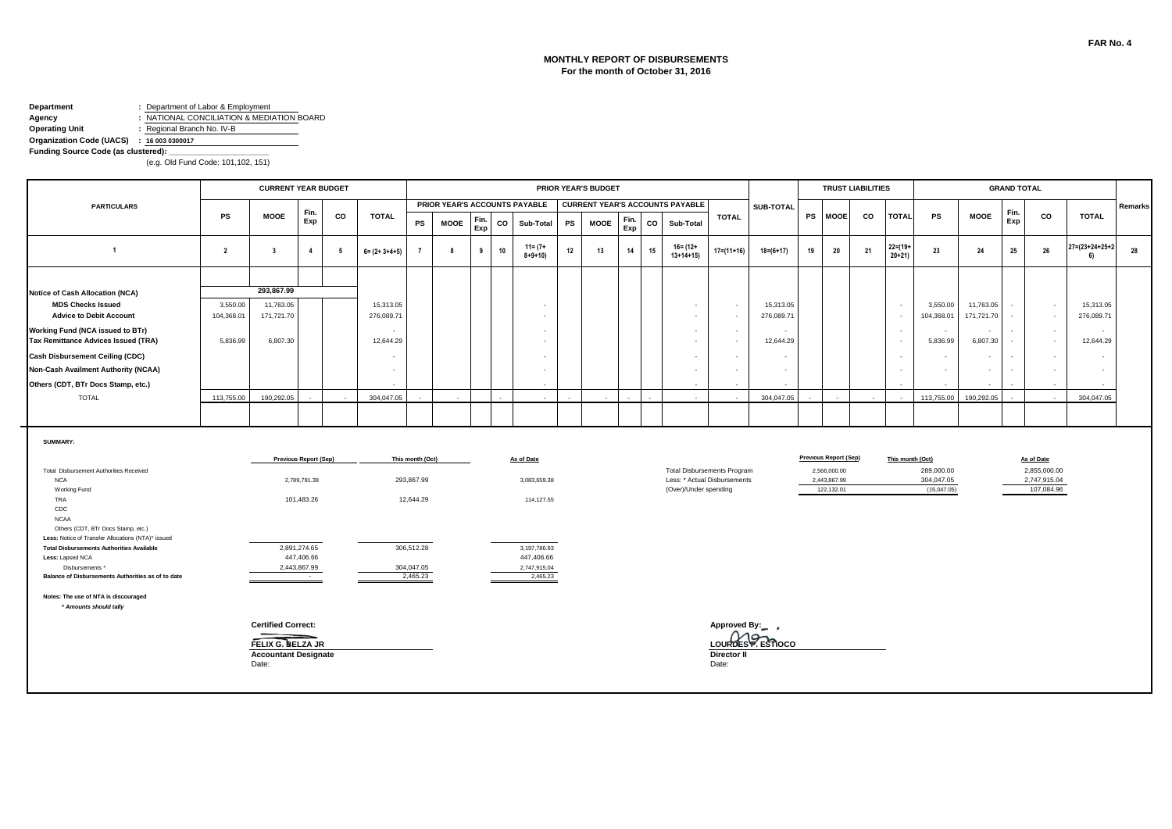## **MONTHLY REPORT OF DISBURSEMENTS For the month of October 31, 2016**

#### **Department :** Department of Labor & Employment **Agency :** NATIONAL CONCILIATION & MEDIATION BOARD<br> **Operating Unit :** Regional Branch No. IV-B **Operating Unit :** Regional Branch No. IV-B

**Organization Code (UACS) : 16 003 0300017**

**Funding Source Code (as clustered):** 

|                                                                                                         |                        | <b>CURRENT YEAR BUDGET</b>   |                            |    |                                       | <b>PRIOR YEAR'S BUDGET</b> |      |             |    |                               |    |             |             |    |                                        |                                    |                                       | <b>TRUST LIABILITIES</b>     |                            |    |                                    |                           |                         | <b>GRAND TOTAL</b> |                            |                          |         |
|---------------------------------------------------------------------------------------------------------|------------------------|------------------------------|----------------------------|----|---------------------------------------|----------------------------|------|-------------|----|-------------------------------|----|-------------|-------------|----|----------------------------------------|------------------------------------|---------------------------------------|------------------------------|----------------------------|----|------------------------------------|---------------------------|-------------------------|--------------------|----------------------------|--------------------------|---------|
| <b>PARTICULARS</b>                                                                                      |                        |                              | Fin.                       |    |                                       |                            |      |             |    | PRIOR YEAR'S ACCOUNTS PAYABLE |    |             |             |    | <b>CURRENT YEAR'S ACCOUNTS PAYABLE</b> |                                    | SUB-TOTAL                             |                              |                            |    |                                    |                           |                         | Fin.               |                            |                          | Remarks |
|                                                                                                         | PS                     | <b>MOOE</b>                  | Exp                        | co | <b>TOTAL</b>                          | PS                         | MOOE | Fin.<br>Exp | CO | Sub-Total                     | PS | <b>MOOE</b> | Fin.<br>Exp | CO | Sub-Total                              | <b>TOTAL</b>                       |                                       | <b>PS</b>                    | <b>MOOE</b>                | CO | <b>TOTAL</b>                       | PS                        | <b>MOOE</b>             | Exp                | CO                         | <b>TOTAL</b>             |         |
| $\overline{1}$                                                                                          | $\overline{2}$         | $\overline{\mathbf{3}}$      | $\overline{4}$             | 5  | $6 = (2 + 3 + 4 + 5)$                 |                            | 8    | 9           | 10 | $11 = (7 +$<br>$8 + 9 + 10$   | 12 | 13          | 14          | 15 | $16 = (12 +$<br>$13+14+15$             | $17 = (11 + 16)$                   | $18 = (6 + 17)$                       | 19                           | 20                         | 21 | $22 = (19 +$<br>$20 + 21$          | 23                        | 24                      | 25                 | 26                         | 27=(23+24+25+2<br>6)     | 28      |
|                                                                                                         |                        |                              |                            |    |                                       |                            |      |             |    |                               |    |             |             |    |                                        |                                    |                                       |                              |                            |    |                                    |                           |                         |                    |                            |                          |         |
| Notice of Cash Allocation (NCA)                                                                         |                        | 293,867.99                   |                            |    |                                       |                            |      |             |    |                               |    |             |             |    |                                        |                                    |                                       |                              |                            |    |                                    |                           |                         |                    |                            |                          |         |
| <b>MDS Checks Issued</b><br><b>Advice to Debit Account</b>                                              | 3,550.00<br>104,368.01 | 11,763.05<br>171,721.70      |                            |    | 15,313.05<br>276,089.71               |                            |      |             |    | - 2<br>$\sim$                 |    |             |             |    | $\sim$<br>$\sim$                       | $\sim$<br>$\sim$                   | 15,313.05<br>276,089.71               |                              |                            |    | $\sim$<br>$\overline{\phantom{a}}$ | 3,550.00<br>104,368.01    | 11,763.05<br>171,721.70 |                    | $\sim$<br>$\sim$           | 15,313.05<br>276,089.71  |         |
| Working Fund (NCA issued to BTr)<br>Tax Remittance Advices Issued (TRA)                                 | 5,836.99               | 6,807.30                     |                            |    | $\overline{\phantom{a}}$<br>12,644.29 |                            |      |             |    | $\sim$<br>$\sim$              |    |             |             |    | $\sim$<br>$\sim$                       | $\overline{a}$<br>$\sim$           | $\overline{\phantom{a}}$<br>12,644.29 |                              |                            |    | $\sim$<br>$\overline{\phantom{a}}$ | $\sim$<br>5,836.99        | $\sim$<br>6,807.30      | $\sim$<br>$\sim$   | $\sim$<br>$\sim$           | $\sim$<br>12,644.29      |         |
| <b>Cash Disbursement Ceiling (CDC)</b>                                                                  |                        |                              |                            |    | $\overline{\phantom{a}}$              |                            |      |             |    | $\overline{\phantom{a}}$      |    |             |             |    | $\sim$                                 | $\overline{a}$                     | $\overline{\phantom{a}}$              |                              |                            |    | $\sim$                             | $\sim$                    |                         | $\sim$             | $\sim$                     | $\overline{\phantom{a}}$ |         |
| Non-Cash Availment Authority (NCAA)                                                                     |                        |                              |                            |    | $\sim$                                |                            |      |             |    | - 2                           |    |             |             |    | $\sim$                                 | $\sim$                             | - 2                                   |                              |                            |    | $\sim$                             | $\overline{a}$            |                         | $\sim$             | $\sim$                     | $\overline{a}$           |         |
| Others (CDT, BTr Docs Stamp, etc.)                                                                      |                        |                              |                            |    |                                       |                            |      |             |    | $\sim$                        |    |             |             |    | $\sim$                                 |                                    |                                       |                              |                            |    |                                    |                           |                         |                    | $\sim$                     |                          |         |
| <b>TOTAL</b>                                                                                            | 113,755.00             | 190,292.05                   |                            |    | 304,047.05                            |                            |      |             |    |                               |    |             |             |    |                                        |                                    | 304,047.05                            |                              |                            |    |                                    | 113,755.00                | 190,292.05              |                    |                            | 304,047.05               |         |
|                                                                                                         |                        |                              |                            |    |                                       |                            |      |             |    |                               |    |             |             |    |                                        |                                    |                                       |                              |                            |    |                                    |                           |                         |                    |                            |                          |         |
| SUMMARY:                                                                                                |                        | <b>Previous Report (Sep)</b> |                            |    | This month (Oct)<br>As of Date        |                            |      |             |    |                               |    |             |             |    |                                        |                                    |                                       | <b>Previous Report (Sep)</b> |                            |    | This month (Oct)                   |                           |                         | As of Date         |                            |                          |         |
| Total Disbursement Authorities Received                                                                 |                        |                              |                            |    |                                       |                            |      |             |    |                               |    |             |             |    |                                        | <b>Total Disbursements Program</b> |                                       |                              | 2,566,000.00               |    |                                    | 289,000.00                |                         |                    | 2,855,000.00               |                          |         |
| <b>NCA</b><br>Working Fund                                                                              |                        |                              | 2,789,791.39               |    |                                       | 293,867.99                 |      |             |    | 3.083.659.38                  |    |             |             |    | (Over)/Under spending                  | Less: * Actual Disbursements       |                                       |                              | 2,443,867.99<br>122,132.01 |    |                                    | 304,047.05<br>(15,047.05) |                         |                    | 2,747,915.04<br>107,084.96 |                          |         |
| TRA                                                                                                     |                        |                              | 101,483.26                 |    |                                       | 12,644.29                  |      |             |    | 114,127.55                    |    |             |             |    |                                        |                                    |                                       |                              |                            |    |                                    |                           |                         |                    |                            |                          |         |
| CDC                                                                                                     |                        |                              |                            |    |                                       |                            |      |             |    |                               |    |             |             |    |                                        |                                    |                                       |                              |                            |    |                                    |                           |                         |                    |                            |                          |         |
| <b>NCAA</b><br>Others (CDT, BTr Docs Stamp, etc.)<br>Less: Notice of Transfer Allocations (NTA)* issued |                        |                              |                            |    |                                       |                            |      |             |    |                               |    |             |             |    |                                        |                                    |                                       |                              |                            |    |                                    |                           |                         |                    |                            |                          |         |
| <b>Total Disbursements Authorities Available</b>                                                        |                        |                              | 2,891,274.65               |    |                                       | 306,512.28                 |      |             |    | 3,197,786.93                  |    |             |             |    |                                        |                                    |                                       |                              |                            |    |                                    |                           |                         |                    |                            |                          |         |
| Less: Lapsed NCA<br>Disbursements *                                                                     |                        |                              | 447,406.66<br>2,443,867.99 |    |                                       | 304,047.05                 |      |             |    | 447,406.66<br>2,747,915.04    |    |             |             |    |                                        |                                    |                                       |                              |                            |    |                                    |                           |                         |                    |                            |                          |         |
| Balance of Disbursements Authorities as of to date                                                      |                        |                              | $\sim 100$                 |    |                                       | 2,465.23                   |      |             |    | 2,465.23                      |    |             |             |    |                                        |                                    |                                       |                              |                            |    |                                    |                           |                         |                    |                            |                          |         |
| Notes: The use of NTA is discouraged<br>* Amounts should tally                                          |                        |                              |                            |    |                                       |                            |      |             |    |                               |    |             |             |    |                                        |                                    |                                       |                              |                            |    |                                    |                           |                         |                    |                            |                          |         |
|                                                                                                         |                        | <b>Certified Correct:</b>    |                            |    | Approved By:                          |                            |      |             |    |                               |    |             |             |    |                                        |                                    |                                       |                              |                            |    |                                    |                           |                         |                    |                            |                          |         |
|                                                                                                         |                        | FELIX G. BELZA JR            |                            |    |                                       |                            |      |             |    |                               |    |             |             |    |                                        | LOURDES P. ESTIOCO                 |                                       |                              |                            |    |                                    |                           |                         |                    |                            |                          |         |
|                                                                                                         |                        | <b>Accountant Designate</b>  |                            |    |                                       |                            |      |             |    |                               |    |             |             |    |                                        | <b>Director II</b>                 |                                       |                              |                            |    |                                    |                           |                         |                    |                            |                          |         |
|                                                                                                         |                        | Date:                        |                            |    |                                       |                            |      |             |    |                               |    |             |             |    |                                        | Date:                              |                                       |                              |                            |    |                                    |                           |                         |                    |                            |                          |         |
|                                                                                                         |                        |                              |                            |    |                                       |                            |      |             |    |                               |    |             |             |    |                                        |                                    |                                       |                              |                            |    |                                    |                           |                         |                    |                            |                          |         |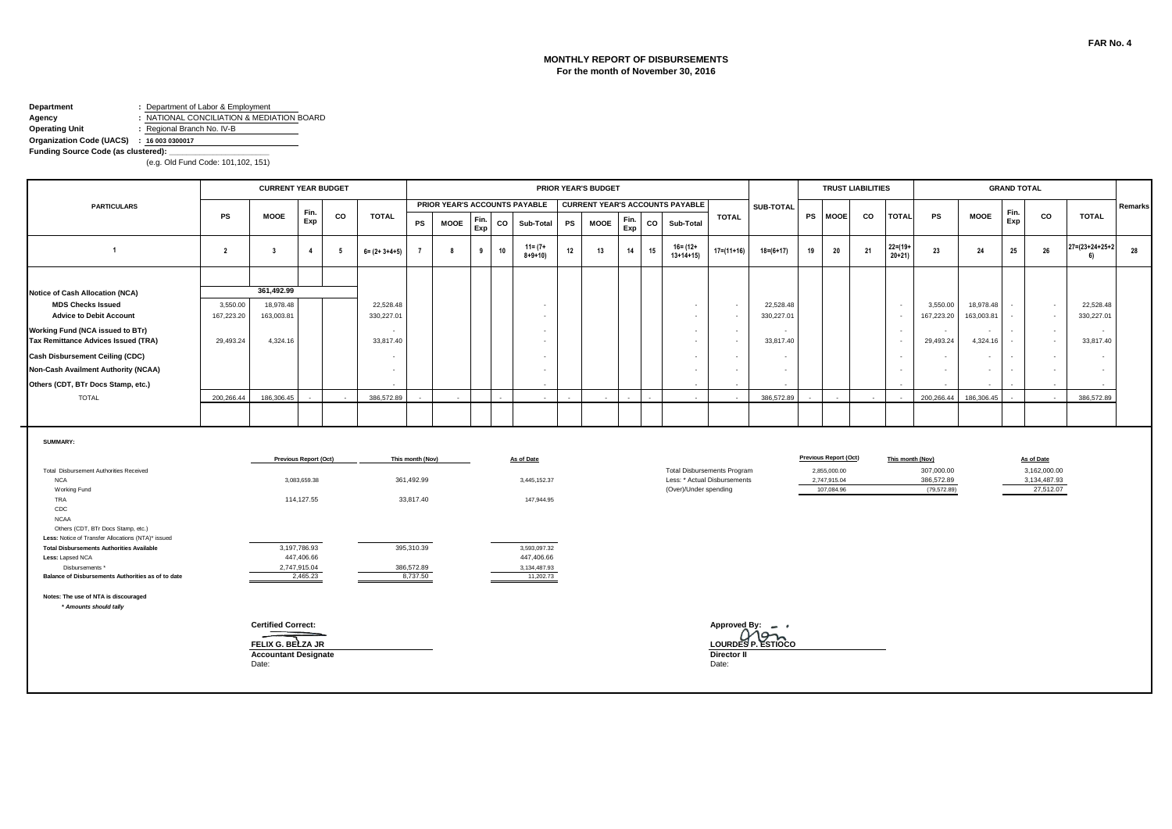### **MONTHLY REPORT OF DISBURSEMENTS For the month of November 30, 2016**

#### **Department :** Department of Labor & Employment **Agency :** NATIONAL CONCILIATION & MEDIATION BOARD<br> **Operating Unit :** Regional Branch No. IV-B **Operating Unit :** Regional Branch No. IV-B

**Organization Code (UACS) : 16 003 0300017**

**Funding Source Code (as clustered):** 

|                                                                                          |                        | <b>PRIOR YEAR'S BUDGET</b><br>PRIOR YEAR'S ACCOUNTS PAYABLE<br><b>CURRENT YEAR'S ACCOUNTS PAYABLE</b> |                              |    |                         |                  |             |             |            |                             |              |    |             |                                       |                    |                                                       |                                    | <b>GRAND TOTAL</b>      |    |                                              |    |                           |                                |        |                         |        |                            |                                 |         |
|------------------------------------------------------------------------------------------|------------------------|-------------------------------------------------------------------------------------------------------|------------------------------|----|-------------------------|------------------|-------------|-------------|------------|-----------------------------|--------------|----|-------------|---------------------------------------|--------------------|-------------------------------------------------------|------------------------------------|-------------------------|----|----------------------------------------------|----|---------------------------|--------------------------------|--------|-------------------------|--------|----------------------------|---------------------------------|---------|
| <b>PARTICULARS</b>                                                                       |                        |                                                                                                       | Fin.                         |    |                         |                  |             |             |            |                             |              |    |             |                                       |                    |                                                       |                                    | SUB-TOTAL               |    |                                              |    |                           |                                |        |                         | Fin.   |                            |                                 | Remarks |
|                                                                                          | PS                     | <b>MOOE</b>                                                                                           | Exp                          | CO | <b>TOTAL</b>            | <b>PS</b>        | <b>MOOE</b> | Fin.<br>Exp | co         | Sub-Total                   |              | PS | <b>MOOE</b> | Fin.<br>Exp                           | CO                 | Sub-Total                                             | <b>TOTAL</b>                       |                         |    | PS MOOE                                      | CO | <b>TOTAL</b>              | PS                             |        | <b>MOOE</b>             | Exp    | CO                         | <b>TOTAL</b>                    |         |
| $\overline{1}$                                                                           | $\overline{2}$         | $\overline{\mathbf{3}}$                                                                               | $\overline{4}$               | 5  | $6 = (2 + 3 + 4 + 5)$   |                  | 8           | 9           | 10         | $11 = (7 +$<br>$8 + 9 + 10$ |              | 12 | 13          | 14                                    | 15                 | 16= (12+<br>$13+14+15$                                | $17 = (11 + 16)$                   | $18 = (6 + 17)$         | 19 | 20                                           | 21 | $22 = (19 +$<br>$20 + 21$ | 23                             |        | 24                      | 25     | 26                         | $27 = (23 + 24 + 25 + 2)$<br>6) | 28      |
|                                                                                          |                        |                                                                                                       |                              |    |                         |                  |             |             |            |                             |              |    |             |                                       |                    |                                                       |                                    |                         |    |                                              |    |                           |                                |        |                         |        |                            |                                 |         |
| Notice of Cash Allocation (NCA)                                                          |                        | 361,492.99                                                                                            |                              |    |                         |                  |             |             |            |                             |              |    |             |                                       |                    |                                                       |                                    |                         |    |                                              |    |                           |                                |        |                         |        |                            |                                 |         |
| <b>MDS Checks Issued</b><br><b>Advice to Debit Account</b>                               | 3,550.00<br>167,223.20 | 18,978.48<br>163,003.81                                                                               |                              |    | 22,528.48<br>330,227.01 |                  |             |             |            |                             |              |    |             |                                       |                    | $\sim$<br>$\sim$                                      | $\sim$<br>$\overline{\phantom{a}}$ | 22,528.48<br>330,227.01 |    |                                              |    | $\sim$<br>$\sim$          | 3,550.00<br>167,223.20         |        | 18,978.48<br>163,003.81 |        | $\sim$<br>$\sim$           | 22,528.48<br>330,227.01         |         |
| Working Fund (NCA issued to BTr)<br><b>Tax Remittance Advices Issued (TRA)</b>           | 29,493.24              | 4,324.16                                                                                              |                              |    | 33,817.40               |                  |             |             |            |                             |              |    |             |                                       |                    | $\sim$<br>$\sim$                                      | $\sim$<br>$\sim$                   | 33,817.40               |    |                                              |    | $\sim$<br>$\sim$          | 29,493.24                      | $\sim$ | 4,324.16                |        | $\sim$<br>$\sim$           | $\overline{a}$<br>33,817.40     |         |
| <b>Cash Disbursement Ceiling (CDC)</b>                                                   |                        |                                                                                                       |                              |    |                         |                  |             |             |            |                             |              |    |             |                                       |                    | $\sim$                                                | $\overline{\phantom{a}}$           |                         |    |                                              |    | $\sim$                    |                                | $\sim$ |                         |        | $\sim$                     |                                 |         |
| <b>Non-Cash Availment Authority (NCAA)</b>                                               |                        |                                                                                                       |                              |    |                         |                  |             |             |            |                             |              |    |             |                                       |                    |                                                       | $\overline{\phantom{a}}$           |                         |    |                                              |    | $\sim$                    |                                | $\sim$ |                         | $\sim$ | $\sim$                     |                                 |         |
| Others (CDT, BTr Docs Stamp, etc.)                                                       |                        |                                                                                                       |                              |    |                         |                  |             |             |            |                             |              |    |             |                                       |                    |                                                       |                                    |                         |    |                                              |    |                           |                                |        |                         |        |                            |                                 |         |
| <b>TOTAL</b>                                                                             | 200.266.44             | 186,306.45                                                                                            |                              |    | 386,572.89              |                  |             |             |            |                             |              |    |             |                                       |                    |                                                       |                                    | 386,572.89              |    |                                              |    | ÷.                        | 200.266.44                     |        | 186.306.45              |        |                            | 386,572.89                      |         |
|                                                                                          |                        |                                                                                                       |                              |    |                         |                  |             |             |            |                             |              |    |             |                                       |                    |                                                       |                                    |                         |    |                                              |    |                           |                                |        |                         |        |                            |                                 |         |
| SUMMARY:<br>Total Disbursement Authorities Received                                      |                        |                                                                                                       | <b>Previous Report (Oct)</b> |    |                         | This month (Nov) |             |             | As of Date |                             |              |    |             |                                       |                    | <b>Total Disbursements Program</b>                    |                                    |                         |    | <b>Previous Report (Oct)</b><br>2,855,000.00 |    |                           | This month (Nov)<br>307,000.00 |        |                         |        | As of Date<br>3,162,000.00 |                                 |         |
| <b>NCA</b><br>Working Fund                                                               |                        |                                                                                                       | 3,083,659.38                 |    |                         | 361,492.99       |             |             |            | 3,445,152.37                |              |    |             |                                       |                    | Less: * Actual Disbursements<br>(Over)/Under spending |                                    |                         |    | 2,747,915.04<br>107,084.96                   |    |                           | 386,572.89<br>(79, 572.89)     |        |                         |        | 3,134,487.93<br>27,512.07  |                                 |         |
| <b>TRA</b><br>CDC<br><b>NCAA</b>                                                         |                        |                                                                                                       | 114,127.55                   |    |                         | 33,817.40        |             |             |            |                             | 147,944.95   |    |             |                                       |                    |                                                       |                                    |                         |    |                                              |    |                           |                                |        |                         |        |                            |                                 |         |
| Others (CDT, BTr Docs Stamp, etc.)<br>Less: Notice of Transfer Allocations (NTA)* issued |                        |                                                                                                       |                              |    |                         |                  |             |             |            |                             |              |    |             |                                       |                    |                                                       |                                    |                         |    |                                              |    |                           |                                |        |                         |        |                            |                                 |         |
| <b>Total Disbursements Authorities Available</b><br>Less: Lapsed NCA                     |                        |                                                                                                       | 3,197,786.93<br>447,406.66   |    |                         | 395,310.39       |             |             |            | 3,593,097.32<br>447,406.66  |              |    |             |                                       |                    |                                                       |                                    |                         |    |                                              |    |                           |                                |        |                         |        |                            |                                 |         |
| Disbursements *                                                                          |                        |                                                                                                       | 2,747,915.04                 |    |                         | 386,572.89       |             |             |            |                             | 3,134,487.93 |    |             |                                       |                    |                                                       |                                    |                         |    |                                              |    |                           |                                |        |                         |        |                            |                                 |         |
| Balance of Disbursements Authorities as of to date                                       |                        |                                                                                                       | 2,465.23                     |    |                         | 8.737.50         |             |             |            |                             | 11,202.73    |    |             |                                       |                    |                                                       |                                    |                         |    |                                              |    |                           |                                |        |                         |        |                            |                                 |         |
| Notes: The use of NTA is discouraged<br>* Amounts should tally                           |                        |                                                                                                       |                              |    |                         |                  |             |             |            |                             |              |    |             |                                       |                    |                                                       |                                    |                         |    |                                              |    |                           |                                |        |                         |        |                            |                                 |         |
|                                                                                          |                        | <b>Certified Correct:</b>                                                                             |                              |    |                         |                  |             |             |            |                             |              |    |             | Approved By: $\qquad \qquad$ $\qquad$ |                    |                                                       |                                    |                         |    |                                              |    |                           |                                |        |                         |        |                            |                                 |         |
|                                                                                          |                        | FELIX G. BELZA JR                                                                                     |                              |    |                         |                  |             |             |            |                             |              |    |             |                                       | <b>Director II</b> | LOURDES P. ESTIOCO                                    |                                    |                         |    |                                              |    |                           |                                |        |                         |        |                            |                                 |         |
|                                                                                          |                        | <b>Accountant Designate</b><br>Date:                                                                  |                              |    |                         |                  |             |             |            |                             |              |    |             |                                       |                    |                                                       | Date:                              |                         |    |                                              |    |                           |                                |        |                         |        |                            |                                 |         |
|                                                                                          |                        |                                                                                                       |                              |    |                         |                  |             |             |            |                             |              |    |             |                                       |                    |                                                       |                                    |                         |    |                                              |    |                           |                                |        |                         |        |                            |                                 |         |
|                                                                                          |                        |                                                                                                       |                              |    |                         |                  |             |             |            |                             |              |    |             |                                       |                    |                                                       |                                    |                         |    |                                              |    |                           |                                |        |                         |        |                            |                                 |         |